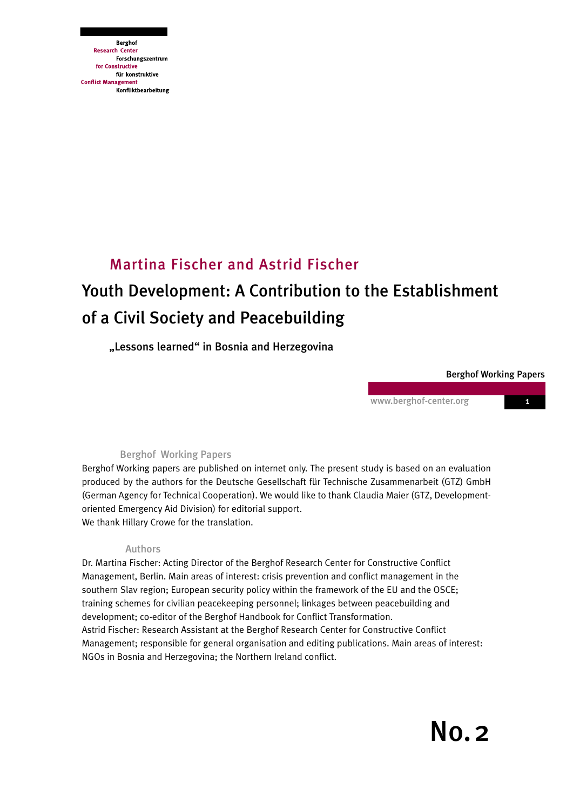**Berghof Research Center** Forschungszentrum for Constructive für konstruktive **Conflict Management** Konfliktbearbeitung

# Youth Development: A Contribution to the Establishment of a Civil Society and Peacebuilding Martina Fischer and Astrid Fischer

"Lessons learned" in Bosnia and Herzegovina

#### Berghof Working Papers

www.berghof-center.org 1

## Berghof Working Papers

Berghof Working papers are published on internet only. The present study is based on an evaluation produced by the authors for the Deutsche Gesellschaft für Technische Zusammenarbeit (GTZ) GmbH (German Agency for Technical Cooperation). We would like to thank Claudia Maier (GTZ, Developmentoriented Emergency Aid Division) for editorial support. We thank Hillary Crowe for the translation.

## Authors

Dr. Martina Fischer: Acting Director of the Berghof Research Center for Constructive Conflict Management, Berlin. Main areas of interest: crisis prevention and conflict management in the southern Slav region; European security policy within the framework of the EU and the OSCE; training schemes for civilian peacekeeping personnel; linkages between peacebuilding and development; co-editor of the Berghof Handbook for Conflict Transformation. Astrid Fischer: Research Assistant at the Berghof Research Center for Constructive Conflict Management; responsible for general organisation and editing publications. Main areas of interest: NGOs in Bosnia and Herzegovina; the Northern Ireland conflict.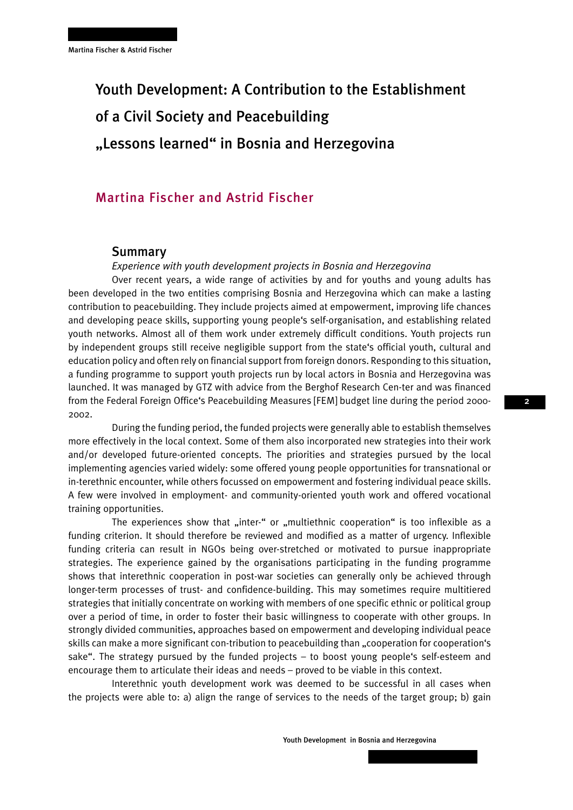# Youth Development: A Contribution to the Establishment of a Civil Society and Peacebuilding "Lessons learned" in Bosnia and Herzegovina

## Martina Fischer and Astrid Fischer

### Summary

*Experience with youth development projects in Bosnia and Herzegovina* 

Over recent years, a wide range of activities by and for youths and young adults has been developed in the two entities comprising Bosnia and Herzegovina which can make a lasting contribution to peacebuilding. They include projects aimed at empowerment, improving life chances and developing peace skills, supporting young people's self-organisation, and establishing related youth networks. Almost all of them work under extremely difficult conditions. Youth projects run by independent groups still receive negligible support from the state's official youth, cultural and education policy and often rely on financial support from foreign donors. Responding to this situation, a funding programme to support youth projects run by local actors in Bosnia and Herzegovina was launched. It was managed by GTZ with advice from the Berghof Research Cen-ter and was financed from the Federal Foreign Office's Peacebuilding Measures [FEM] budget line during the period 2000- 2002.

During the funding period, the funded projects were generally able to establish themselves more effectively in the local context. Some of them also incorporated new strategies into their work and/or developed future-oriented concepts. The priorities and strategies pursued by the local implementing agencies varied widely: some offered young people opportunities for transnational or in-terethnic encounter, while others focussed on empowerment and fostering individual peace skills. A few were involved in employment- and community-oriented youth work and offered vocational training opportunities.

The experiences show that "inter-" or "multiethnic cooperation" is too inflexible as a funding criterion. It should therefore be reviewed and modified as a matter of urgency. Inflexible funding criteria can result in NGOs being over-stretched or motivated to pursue inappropriate strategies. The experience gained by the organisations participating in the funding programme shows that interethnic cooperation in post-war societies can generally only be achieved through longer-term processes of trust- and confidence-building. This may sometimes require multitiered strategies that initially concentrate on working with members of one specific ethnic or political group over a period of time, in order to foster their basic willingness to cooperate with other groups. In strongly divided communities, approaches based on empowerment and developing individual peace skills can make a more significant con-tribution to peacebuilding than "cooperation for cooperation's sake". The strategy pursued by the funded projects – to boost young people's self-esteem and encourage them to articulate their ideas and needs – proved to be viable in this context.

Interethnic youth development work was deemed to be successful in all cases when the projects were able to: a) align the range of services to the needs of the target group; b) gain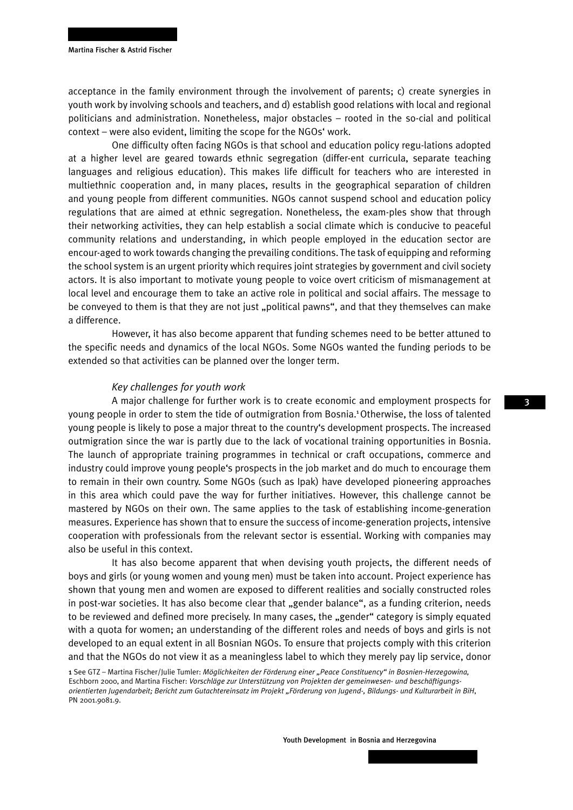acceptance in the family environment through the involvement of parents; c) create synergies in youth work by involving schools and teachers, and d) establish good relations with local and regional politicians and administration. Nonetheless, major obstacles – rooted in the so-cial and political context – were also evident, limiting the scope for the NGOs' work.

One difficulty often facing NGOs is that school and education policy regu-lations adopted at a higher level are geared towards ethnic segregation (differ-ent curricula, separate teaching languages and religious education). This makes life difficult for teachers who are interested in multiethnic cooperation and, in many places, results in the geographical separation of children and young people from different communities. NGOs cannot suspend school and education policy regulations that are aimed at ethnic segregation. Nonetheless, the exam-ples show that through their networking activities, they can help establish a social climate which is conducive to peaceful community relations and understanding, in which people employed in the education sector are encour-aged to work towards changing the prevailing conditions. The task of equipping and reforming the school system is an urgent priority which requires joint strategies by government and civil society actors. It is also important to motivate young people to voice overt criticism of mismanagement at local level and encourage them to take an active role in political and social affairs. The message to be conveyed to them is that they are not just "political pawns", and that they themselves can make a difference.

However, it has also become apparent that funding schemes need to be better attuned to the specific needs and dynamics of the local NGOs. Some NGOs wanted the funding periods to be extended so that activities can be planned over the longer term.

#### *Key challenges for youth work*

A major challenge for further work is to create economic and employment prospects for young people in order to stem the tide of outmigration from Bosnia.<sup>1</sup> Otherwise, the loss of talented young people is likely to pose a major threat to the country's development prospects. The increased outmigration since the war is partly due to the lack of vocational training opportunities in Bosnia. The launch of appropriate training programmes in technical or craft occupations, commerce and industry could improve young people's prospects in the job market and do much to encourage them to remain in their own country. Some NGOs (such as Ipak) have developed pioneering approaches in this area which could pave the way for further initiatives. However, this challenge cannot be mastered by NGOs on their own. The same applies to the task of establishing income-generation measures. Experience has shown that to ensure the success of income-generation projects, intensive cooperation with professionals from the relevant sector is essential. Working with companies may also be useful in this context.

It has also become apparent that when devising youth projects, the different needs of boys and girls (or young women and young men) must be taken into account. Project experience has shown that young men and women are exposed to different realities and socially constructed roles in post-war societies. It has also become clear that "gender balance", as a funding criterion, needs to be reviewed and defined more precisely. In many cases, the "gender" category is simply equated with a quota for women; an understanding of the different roles and needs of boys and girls is not developed to an equal extent in all Bosnian NGOs. To ensure that projects comply with this criterion and that the NGOs do not view it as a meaningless label to which they merely pay lip service, donor

1 See GTZ – Martina Fischer/Julie Tumler: *Möglichkeiten der Förderung einer "Peace Constituency" in Bosnien-Herzegowina,*  Eschborn 2000, and Martina Fischer: *Vorschläge zur Unterstützung von Projekten der gemeinwesen- und beschäftigungsorientierten Jugendarbeit; Bericht zum Gutachtereinsatz im Projekt "Förderung von Jugend-, Bildungs- und Kulturarbeit in BiH*, PN 2001.9081.9.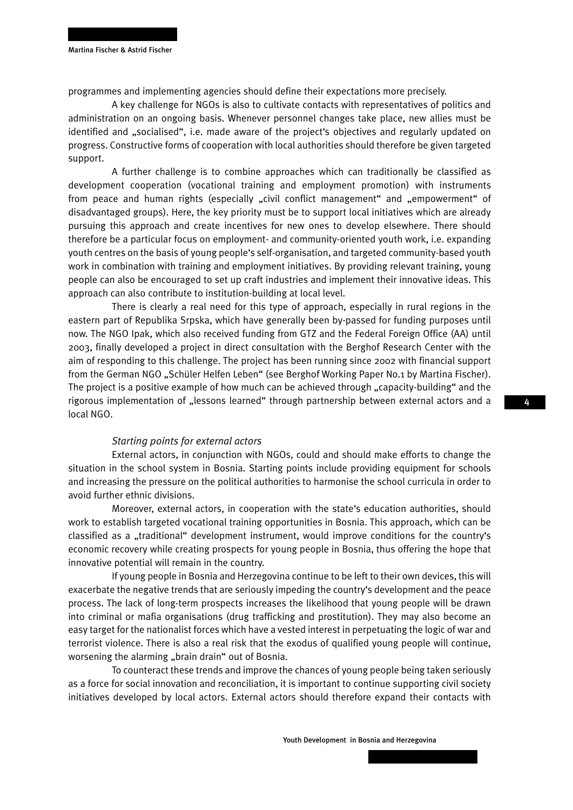programmes and implementing agencies should define their expectations more precisely.

A key challenge for NGOs is also to cultivate contacts with representatives of politics and administration on an ongoing basis. Whenever personnel changes take place, new allies must be identified and "socialised", i.e. made aware of the project's objectives and regularly updated on progress. Constructive forms of cooperation with local authorities should therefore be given targeted support.

A further challenge is to combine approaches which can traditionally be classified as development cooperation (vocational training and employment promotion) with instruments from peace and human rights (especially "civil conflict management" and "empowerment" of disadvantaged groups). Here, the key priority must be to support local initiatives which are already pursuing this approach and create incentives for new ones to develop elsewhere. There should therefore be a particular focus on employment- and community-oriented youth work, i.e. expanding youth centres on the basis of young people's self-organisation, and targeted community-based youth work in combination with training and employment initiatives. By providing relevant training, young people can also be encouraged to set up craft industries and implement their innovative ideas. This approach can also contribute to institution-building at local level.

There is clearly a real need for this type of approach, especially in rural regions in the eastern part of Republika Srpska, which have generally been by-passed for funding purposes until now. The NGO Ipak, which also received funding from GTZ and the Federal Foreign Office (AA) until 2003, finally developed a project in direct consultation with the Berghof Research Center with the aim of responding to this challenge. The project has been running since 2002 with financial support from the German NGO "Schüler Helfen Leben" (see Berghof Working Paper No.1 by Martina Fischer). The project is a positive example of how much can be achieved through "capacity-building" and the rigorous implementation of "lessons learned" through partnership between external actors and a local NGO.

#### *Starting points for external actors*

External actors, in conjunction with NGOs, could and should make efforts to change the situation in the school system in Bosnia. Starting points include providing equipment for schools and increasing the pressure on the political authorities to harmonise the school curricula in order to avoid further ethnic divisions.

Moreover, external actors, in cooperation with the state's education authorities, should work to establish targeted vocational training opportunities in Bosnia. This approach, which can be classified as a "traditional" development instrument, would improve conditions for the country's economic recovery while creating prospects for young people in Bosnia, thus offering the hope that innovative potential will remain in the country.

If young people in Bosnia and Herzegovina continue to be left to their own devices, this will exacerbate the negative trends that are seriously impeding the country's development and the peace process. The lack of long-term prospects increases the likelihood that young people will be drawn into criminal or mafia organisations (drug trafficking and prostitution). They may also become an easy target for the nationalist forces which have a vested interest in perpetuating the logic of war and terrorist violence. There is also a real risk that the exodus of qualified young people will continue, worsening the alarming "brain drain" out of Bosnia.

To counteract these trends and improve the chances of young people being taken seriously as a force for social innovation and reconciliation, it is important to continue supporting civil society initiatives developed by local actors. External actors should therefore expand their contacts with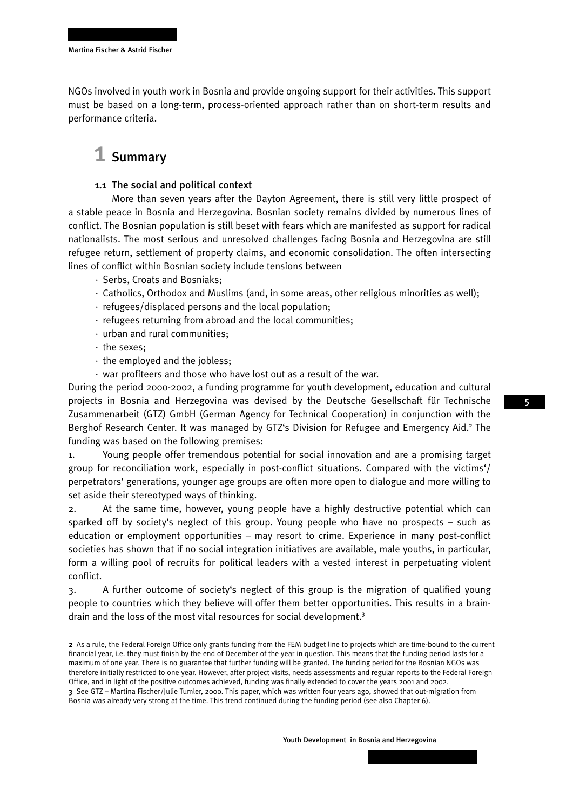NGOs involved in youth work in Bosnia and provide ongoing support for their activities. This support must be based on a long-term, process-oriented approach rather than on short-term results and performance criteria.

## 1 Summary

#### 1.1 The social and political context

More than seven years after the Dayton Agreement, there is still very little prospect of a stable peace in Bosnia and Herzegovina. Bosnian society remains divided by numerous lines of conflict. The Bosnian population is still beset with fears which are manifested as support for radical nationalists. The most serious and unresolved challenges facing Bosnia and Herzegovina are still refugee return, settlement of property claims, and economic consolidation. The often intersecting lines of conflict within Bosnian society include tensions between

- · Serbs, Croats and Bosniaks;
- · Catholics, Orthodox and Muslims (and, in some areas, other religious minorities as well);
- · refugees/displaced persons and the local population;
- · refugees returning from abroad and the local communities;
- · urban and rural communities;
- · the sexes;
- · the employed and the jobless;
- · war profiteers and those who have lost out as a result of the war.

During the period 2000-2002, a funding programme for youth development, education and cultural projects in Bosnia and Herzegovina was devised by the Deutsche Gesellschaft für Technische Zusammenarbeit (GTZ) GmbH (German Agency for Technical Cooperation) in conjunction with the Berghof Research Center. It was managed by GTZ's Division for Refugee and Emergency Aid.<sup>2</sup> The funding was based on the following premises:

1. Young people offer tremendous potential for social innovation and are a promising target group for reconciliation work, especially in post-conflict situations. Compared with the victims'/ perpetrators' generations, younger age groups are often more open to dialogue and more willing to set aside their stereotyped ways of thinking.

2. At the same time, however, young people have a highly destructive potential which can sparked off by society's neglect of this group. Young people who have no prospects – such as education or employment opportunities – may resort to crime. Experience in many post-conflict societies has shown that if no social integration initiatives are available, male youths, in particular, form a willing pool of recruits for political leaders with a vested interest in perpetuating violent conflict.

3. A further outcome of society's neglect of this group is the migration of qualified young people to countries which they believe will offer them better opportunities. This results in a braindrain and the loss of the most vital resources for social development.<sup>3</sup>

2 As a rule, the Federal Foreign Office only grants funding from the FEM budget line to projects which are time-bound to the current financial year, i.e. they must finish by the end of December of the year in question. This means that the funding period lasts for a maximum of one year. There is no guarantee that further funding will be granted. The funding period for the Bosnian NGOs was therefore initially restricted to one year. However, after project visits, needs assessments and regular reports to the Federal Foreign Office, and in light of the positive outcomes achieved, funding was finally extended to cover the years 2001 and 2002. 3 See GTZ – Martina Fischer/Julie Tumler, 2000. This paper, which was written four years ago, showed that out-migration from Bosnia was already very strong at the time. This trend continued during the funding period (see also Chapter 6).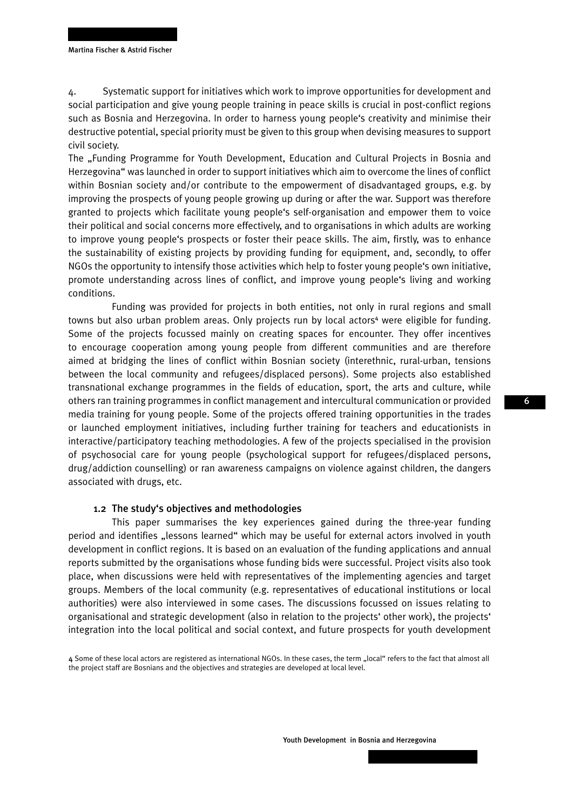4. Systematic support for initiatives which work to improve opportunities for development and social participation and give young people training in peace skills is crucial in post-conflict regions such as Bosnia and Herzegovina. In order to harness young people's creativity and minimise their destructive potential, special priority must be given to this group when devising measures to support civil society.

The "Funding Programme for Youth Development, Education and Cultural Projects in Bosnia and Herzegovina" was launched in order to support initiatives which aim to overcome the lines of conflict within Bosnian society and/or contribute to the empowerment of disadvantaged groups, e.g. by improving the prospects of young people growing up during or after the war. Support was therefore granted to projects which facilitate young people's self-organisation and empower them to voice their political and social concerns more effectively, and to organisations in which adults are working to improve young people's prospects or foster their peace skills. The aim, firstly, was to enhance the sustainability of existing projects by providing funding for equipment, and, secondly, to offer NGOs the opportunity to intensify those activities which help to foster young people's own initiative, promote understanding across lines of conflict, and improve young people's living and working conditions.

Funding was provided for projects in both entities, not only in rural regions and small towns but also urban problem areas. Only projects run by local actors<sup>4</sup> were eligible for funding. Some of the projects focussed mainly on creating spaces for encounter. They offer incentives to encourage cooperation among young people from different communities and are therefore aimed at bridging the lines of conflict within Bosnian society (interethnic, rural-urban, tensions between the local community and refugees/displaced persons). Some projects also established transnational exchange programmes in the fields of education, sport, the arts and culture, while others ran training programmes in conflict management and intercultural communication or provided media training for young people. Some of the projects offered training opportunities in the trades or launched employment initiatives, including further training for teachers and educationists in interactive/participatory teaching methodologies. A few of the projects specialised in the provision of psychosocial care for young people (psychological support for refugees/displaced persons, drug/addiction counselling) or ran awareness campaigns on violence against children, the dangers associated with drugs, etc.

#### 1.2 The study's objectives and methodologies

This paper summarises the key experiences gained during the three-year funding period and identifies "lessons learned" which may be useful for external actors involved in youth development in conflict regions. It is based on an evaluation of the funding applications and annual reports submitted by the organisations whose funding bids were successful. Project visits also took place, when discussions were held with representatives of the implementing agencies and target groups. Members of the local community (e.g. representatives of educational institutions or local authorities) were also interviewed in some cases. The discussions focussed on issues relating to organisational and strategic development (also in relation to the projects' other work), the projects' integration into the local political and social context, and future prospects for youth development

4 Some of these local actors are registered as international NGOs. In these cases, the term "local" refers to the fact that almost all the project staff are Bosnians and the objectives and strategies are developed at local level.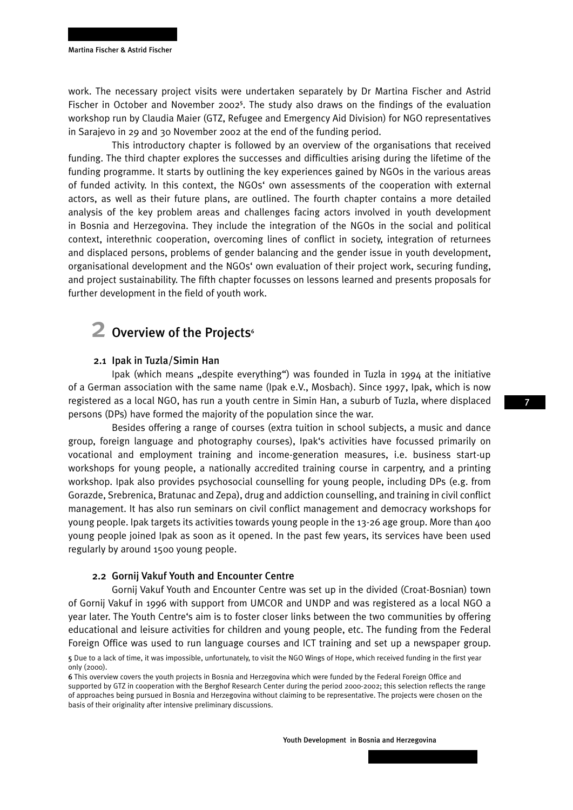work. The necessary project visits were undertaken separately by Dr Martina Fischer and Astrid Fischer in October and November 2002<sup>5</sup>. The study also draws on the findings of the evaluation workshop run by Claudia Maier (GTZ, Refugee and Emergency Aid Division) for NGO representatives in Sarajevo in 29 and 30 November 2002 at the end of the funding period.

This introductory chapter is followed by an overview of the organisations that received funding. The third chapter explores the successes and difficulties arising during the lifetime of the funding programme. It starts by outlining the key experiences gained by NGOs in the various areas of funded activity. In this context, the NGOs' own assessments of the cooperation with external actors, as well as their future plans, are outlined. The fourth chapter contains a more detailed analysis of the key problem areas and challenges facing actors involved in youth development in Bosnia and Herzegovina. They include the integration of the NGOs in the social and political context, interethnic cooperation, overcoming lines of conflict in society, integration of returnees and displaced persons, problems of gender balancing and the gender issue in youth development, organisational development and the NGOs' own evaluation of their project work, securing funding, and project sustainability. The fifth chapter focusses on lessons learned and presents proposals for further development in the field of youth work.

## 2 Overview of the Projects<sup>6</sup>

#### 2.1 Ipak in Tuzla/Simin Han

Ipak (which means "despite everything") was founded in Tuzla in 1994 at the initiative of a German association with the same name (Ipak e.V., Mosbach). Since 1997, Ipak, which is now registered as a local NGO, has run a youth centre in Simin Han, a suburb of Tuzla, where displaced persons (DPs) have formed the majority of the population since the war.

Besides offering a range of courses (extra tuition in school subjects, a music and dance group, foreign language and photography courses), Ipak's activities have focussed primarily on vocational and employment training and income-generation measures, i.e. business start-up workshops for young people, a nationally accredited training course in carpentry, and a printing workshop. Ipak also provides psychosocial counselling for young people, including DPs (e.g. from Gorazde, Srebrenica, Bratunac and Zepa), drug and addiction counselling, and training in civil conflict management. It has also run seminars on civil conflict management and democracy workshops for young people. Ipak targets its activities towards young people in the 13-26 age group. More than 400 young people joined Ipak as soon as it opened. In the past few years, its services have been used regularly by around 1500 young people.

#### 2.2 Gornij Vakuf Youth and Encounter Centre

Gornij Vakuf Youth and Encounter Centre was set up in the divided (Croat-Bosnian) town of Gornij Vakuf in 1996 with support from UMCOR and UNDP and was registered as a local NGO a year later. The Youth Centre's aim is to foster closer links between the two communities by offering educational and leisure activities for children and young people, etc. The funding from the Federal Foreign Office was used to run language courses and ICT training and set up a newspaper group.

<sup>5</sup> Due to a lack of time, it was impossible, unfortunately, to visit the NGO Wings of Hope, which received funding in the first year only (2000).

<sup>6</sup> This overview covers the youth projects in Bosnia and Herzegovina which were funded by the Federal Foreign Office and supported by GTZ in cooperation with the Berghof Research Center during the period 2000-2002; this selection reflects the range of approaches being pursued in Bosnia and Herzegovina without claiming to be representative. The projects were chosen on the basis of their originality after intensive preliminary discussions.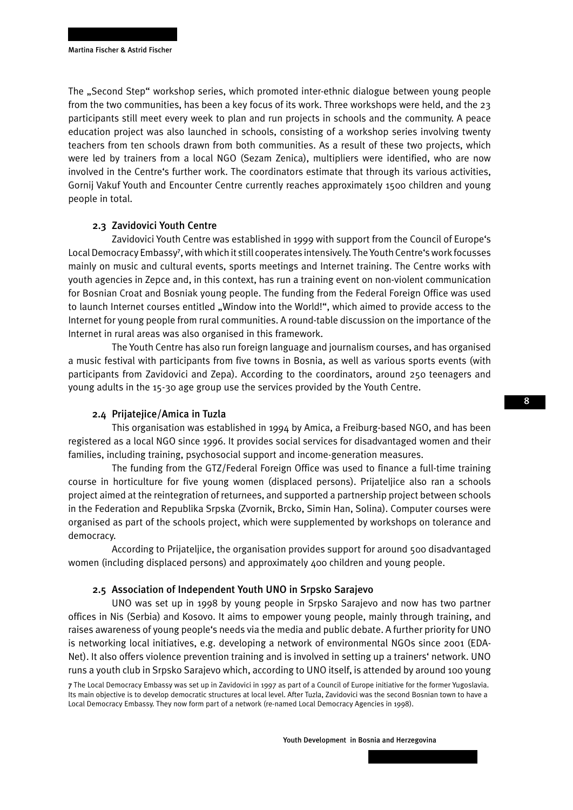The "Second Step" workshop series, which promoted inter-ethnic dialogue between young people from the two communities, has been a key focus of its work. Three workshops were held, and the 23 participants still meet every week to plan and run projects in schools and the community. A peace education project was also launched in schools, consisting of a workshop series involving twenty teachers from ten schools drawn from both communities. As a result of these two projects, which were led by trainers from a local NGO (Sezam Zenica), multipliers were identified, who are now involved in the Centre's further work. The coordinators estimate that through its various activities, Gornij Vakuf Youth and Encounter Centre currently reaches approximately 1500 children and young people in total.

#### 2.3 Zavidovici Youth Centre

Zavidovici Youth Centre was established in 1999 with support from the Council of Europe's Local Democracy Embassy<sup>7</sup> , with which it still cooperates intensively. The Youth Centre's work focusses mainly on music and cultural events, sports meetings and Internet training. The Centre works with youth agencies in Zepce and, in this context, has run a training event on non-violent communication for Bosnian Croat and Bosniak young people. The funding from the Federal Foreign Office was used to launch Internet courses entitled "Window into the World!", which aimed to provide access to the Internet for young people from rural communities. A round-table discussion on the importance of the Internet in rural areas was also organised in this framework.

The Youth Centre has also run foreign language and journalism courses, and has organised a music festival with participants from five towns in Bosnia, as well as various sports events (with participants from Zavidovici and Zepa). According to the coordinators, around 250 teenagers and young adults in the 15-30 age group use the services provided by the Youth Centre.

#### 2.4 Prijatejice/Amica in Tuzla

This organisation was established in 1994 by Amica, a Freiburg-based NGO, and has been registered as a local NGO since 1996. It provides social services for disadvantaged women and their families, including training, psychosocial support and income-generation measures.

The funding from the GTZ/Federal Foreign Office was used to finance a full-time training course in horticulture for five young women (displaced persons). Prijateljice also ran a schools project aimed at the reintegration of returnees, and supported a partnership project between schools in the Federation and Republika Srpska (Zvornik, Brcko, Simin Han, Solina). Computer courses were organised as part of the schools project, which were supplemented by workshops on tolerance and democracy.

According to Prijateljice, the organisation provides support for around 500 disadvantaged women (including displaced persons) and approximately 400 children and young people.

#### 2.5 Association of Independent Youth UNO in Srpsko Sarajevo

UNO was set up in 1998 by young people in Srpsko Sarajevo and now has two partner offices in Nis (Serbia) and Kosovo. It aims to empower young people, mainly through training, and raises awareness of young people's needs via the media and public debate. A further priority for UNO is networking local initiatives, e.g. developing a network of environmental NGOs since 2001 (EDA-Net). It also offers violence prevention training and is involved in setting up a trainers' network. UNO runs a youth club in Srpsko Sarajevo which, according to UNO itself, is attended by around 100 young

<sup>7</sup> The Local Democracy Embassy was set up in Zavidovici in 1997 as part of a Council of Europe initiative for the former Yugoslavia. Its main objective is to develop democratic structures at local level. After Tuzla, Zavidovici was the second Bosnian town to have a Local Democracy Embassy. They now form part of a network (re-named Local Democracy Agencies in 1998).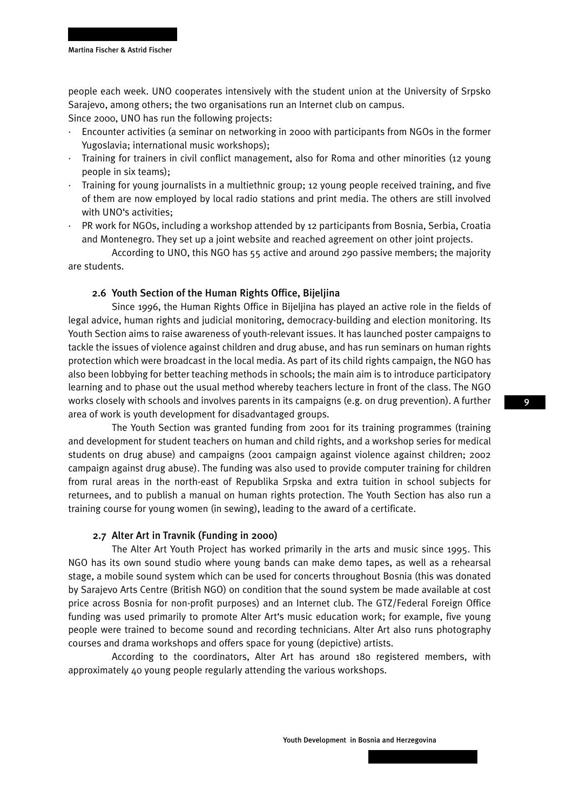people each week. UNO cooperates intensively with the student union at the University of Srpsko Sarajevo, among others; the two organisations run an Internet club on campus.

Since 2000, UNO has run the following projects:

- · Encounter activities (a seminar on networking in 2000 with participants from NGOs in the former Yugoslavia; international music workshops);
- · Training for trainers in civil conflict management, also for Roma and other minorities (12 young people in six teams);
- · Training for young journalists in a multiethnic group; 12 young people received training, and five of them are now employed by local radio stations and print media. The others are still involved with UNO's activities;
- PR work for NGOs, including a workshop attended by 12 participants from Bosnia, Serbia, Croatia and Montenegro. They set up a joint website and reached agreement on other joint projects.

According to UNO, this NGO has 55 active and around 290 passive members; the majority are students.

#### 2.6 Youth Section of the Human Rights Office, Bijeljina

Since 1996, the Human Rights Office in Bijeljina has played an active role in the fields of legal advice, human rights and judicial monitoring, democracy-building and election monitoring. Its Youth Section aims to raise awareness of youth-relevant issues. It has launched poster campaigns to tackle the issues of violence against children and drug abuse, and has run seminars on human rights protection which were broadcast in the local media. As part of its child rights campaign, the NGO has also been lobbying for better teaching methods in schools; the main aim is to introduce participatory learning and to phase out the usual method whereby teachers lecture in front of the class. The NGO works closely with schools and involves parents in its campaigns (e.g. on drug prevention). A further area of work is youth development for disadvantaged groups.

The Youth Section was granted funding from 2001 for its training programmes (training and development for student teachers on human and child rights, and a workshop series for medical students on drug abuse) and campaigns (2001 campaign against violence against children; 2002 campaign against drug abuse). The funding was also used to provide computer training for children from rural areas in the north-east of Republika Srpska and extra tuition in school subjects for returnees, and to publish a manual on human rights protection. The Youth Section has also run a training course for young women (in sewing), leading to the award of a certificate.

#### 2.7 Alter Art in Travnik (Funding in 2000)

The Alter Art Youth Project has worked primarily in the arts and music since 1995. This NGO has its own sound studio where young bands can make demo tapes, as well as a rehearsal stage, a mobile sound system which can be used for concerts throughout Bosnia (this was donated by Sarajevo Arts Centre (British NGO) on condition that the sound system be made available at cost price across Bosnia for non-profit purposes) and an Internet club. The GTZ/Federal Foreign Office funding was used primarily to promote Alter Art's music education work; for example, five young people were trained to become sound and recording technicians. Alter Art also runs photography courses and drama workshops and offers space for young (depictive) artists.

According to the coordinators, Alter Art has around 180 registered members, with approximately 40 young people regularly attending the various workshops.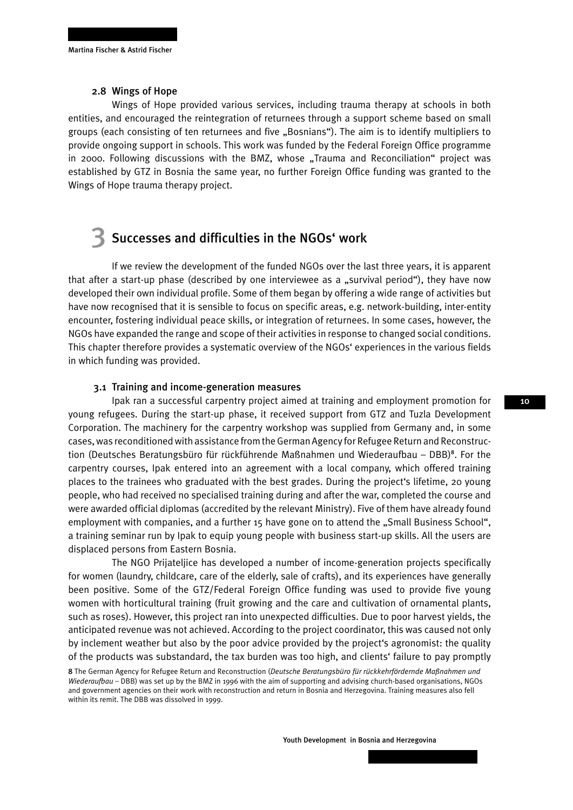#### 2.8 Wings of Hope

Wings of Hope provided various services, including trauma therapy at schools in both entities, and encouraged the reintegration of returnees through a support scheme based on small groups (each consisting of ten returnees and five "Bosnians"). The aim is to identify multipliers to provide ongoing support in schools. This work was funded by the Federal Foreign Office programme in 2000. Following discussions with the BMZ, whose "Trauma and Reconciliation" project was established by GTZ in Bosnia the same year, no further Foreign Office funding was granted to the Wings of Hope trauma therapy project.

## 3 Successes and difficulties in the NGOs' work

If we review the development of the funded NGOs over the last three years, it is apparent that after a start-up phase (described by one interviewee as a "survival period"), they have now developed their own individual profile. Some of them began by offering a wide range of activities but have now recognised that it is sensible to focus on specific areas, e.g. network-building, inter-entity encounter, fostering individual peace skills, or integration of returnees. In some cases, however, the NGOs have expanded the range and scope of their activities in response to changed social conditions. This chapter therefore provides a systematic overview of the NGOs' experiences in the various fields in which funding was provided.

#### 3.1 Training and income-generation measures

Ipak ran a successful carpentry project aimed at training and employment promotion for young refugees. During the start-up phase, it received support from GTZ and Tuzla Development Corporation. The machinery for the carpentry workshop was supplied from Germany and, in some cases, was reconditioned with assistance from the German Agency for Refugee Return and Reconstruction (Deutsches Beratungsbüro für rückführende Maßnahmen und Wiederaufbau - DBB)<sup>8</sup>. For the carpentry courses, Ipak entered into an agreement with a local company, which offered training places to the trainees who graduated with the best grades. During the project's lifetime, 20 young people, who had received no specialised training during and after the war, completed the course and were awarded official diplomas (accredited by the relevant Ministry). Five of them have already found employment with companies, and a further 15 have gone on to attend the "Small Business School", a training seminar run by Ipak to equip young people with business start-up skills. All the users are displaced persons from Eastern Bosnia.

The NGO Prijateljice has developed a number of income-generation projects specifically for women (laundry, childcare, care of the elderly, sale of crafts), and its experiences have generally been positive. Some of the GTZ/Federal Foreign Office funding was used to provide five young women with horticultural training (fruit growing and the care and cultivation of ornamental plants, such as roses). However, this project ran into unexpected difficulties. Due to poor harvest yields, the anticipated revenue was not achieved. According to the project coordinator, this was caused not only by inclement weather but also by the poor advice provided by the project's agronomist: the quality of the products was substandard, the tax burden was too high, and clients' failure to pay promptly 8 The German Agency for Refugee Return and Reconstruction (*Deutsche Beratungsbüro für rückkehrfördernde Maßnahmen und Wiederaufbau* – DBB) was set up by the BMZ in 1996 with the aim of supporting and advising church-based organisations, NGOs and government agencies on their work with reconstruction and return in Bosnia and Herzegovina. Training measures also fell within its remit. The DBB was dissolved in 1999.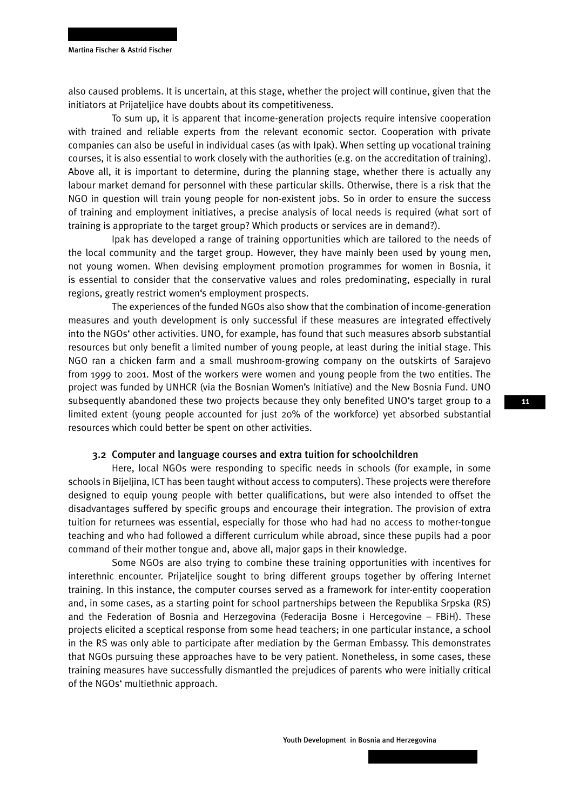also caused problems. It is uncertain, at this stage, whether the project will continue, given that the initiators at Prijateljice have doubts about its competitiveness.

To sum up, it is apparent that income-generation projects require intensive cooperation with trained and reliable experts from the relevant economic sector. Cooperation with private companies can also be useful in individual cases (as with Ipak). When setting up vocational training courses, it is also essential to work closely with the authorities (e.g. on the accreditation of training). Above all, it is important to determine, during the planning stage, whether there is actually any labour market demand for personnel with these particular skills. Otherwise, there is a risk that the NGO in question will train young people for non-existent jobs. So in order to ensure the success of training and employment initiatives, a precise analysis of local needs is required (what sort of training is appropriate to the target group? Which products or services are in demand?).

Ipak has developed a range of training opportunities which are tailored to the needs of the local community and the target group. However, they have mainly been used by young men, not young women. When devising employment promotion programmes for women in Bosnia, it is essential to consider that the conservative values and roles predominating, especially in rural regions, greatly restrict women's employment prospects.

The experiences of the funded NGOs also show that the combination of income-generation measures and youth development is only successful if these measures are integrated effectively into the NGOs' other activities. UNO, for example, has found that such measures absorb substantial resources but only benefit a limited number of young people, at least during the initial stage. This NGO ran a chicken farm and a small mushroom-growing company on the outskirts of Sarajevo from 1999 to 2001. Most of the workers were women and young people from the two entities. The project was funded by UNHCR (via the Bosnian Women's Initiative) and the New Bosnia Fund. UNO subsequently abandoned these two projects because they only benefited UNO's target group to a limited extent (young people accounted for just 20% of the workforce) yet absorbed substantial resources which could better be spent on other activities.

#### 3.2 Computer and language courses and extra tuition for schoolchildren

Here, local NGOs were responding to specific needs in schools (for example, in some schools in Bijeljina, ICT has been taught without access to computers). These projects were therefore designed to equip young people with better qualifications, but were also intended to offset the disadvantages suffered by specific groups and encourage their integration. The provision of extra tuition for returnees was essential, especially for those who had had no access to mother-tongue teaching and who had followed a different curriculum while abroad, since these pupils had a poor command of their mother tongue and, above all, major gaps in their knowledge.

Some NGOs are also trying to combine these training opportunities with incentives for interethnic encounter. Prijateljice sought to bring different groups together by offering Internet training. In this instance, the computer courses served as a framework for inter-entity cooperation and, in some cases, as a starting point for school partnerships between the Republika Srpska (RS) and the Federation of Bosnia and Herzegovina (Federacija Bosne i Hercegovine – FBiH). These projects elicited a sceptical response from some head teachers; in one particular instance, a school in the RS was only able to participate after mediation by the German Embassy. This demonstrates that NGOs pursuing these approaches have to be very patient. Nonetheless, in some cases, these training measures have successfully dismantled the prejudices of parents who were initially critical of the NGOs' multiethnic approach.

Youth Development in Bosnia and Herzegovina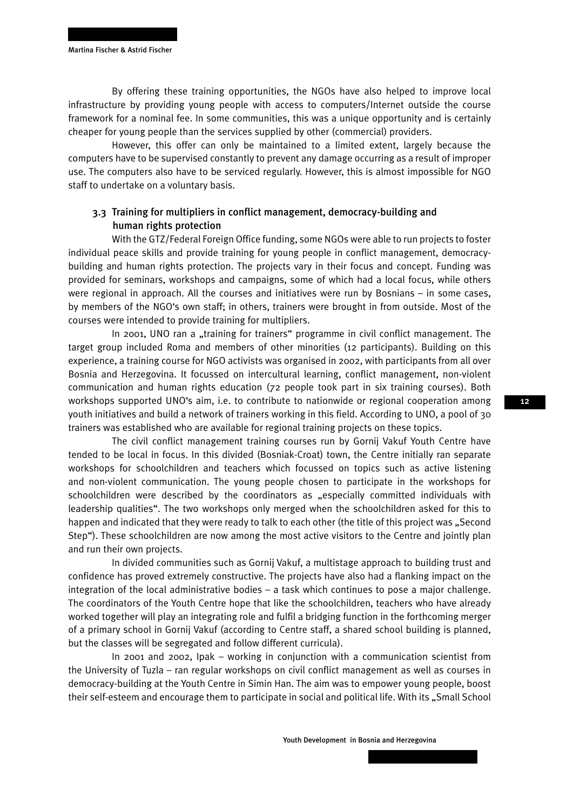By offering these training opportunities, the NGOs have also helped to improve local infrastructure by providing young people with access to computers/Internet outside the course framework for a nominal fee. In some communities, this was a unique opportunity and is certainly cheaper for young people than the services supplied by other (commercial) providers.

However, this offer can only be maintained to a limited extent, largely because the computers have to be supervised constantly to prevent any damage occurring as a result of improper use. The computers also have to be serviced regularly. However, this is almost impossible for NGO staff to undertake on a voluntary basis.

### 3.3 Training for multipliers in conflict management, democracy-building and human rights protection

With the GTZ/Federal Foreign Office funding, some NGOs were able to run projects to foster individual peace skills and provide training for young people in conflict management, democracybuilding and human rights protection. The projects vary in their focus and concept. Funding was provided for seminars, workshops and campaigns, some of which had a local focus, while others were regional in approach. All the courses and initiatives were run by Bosnians – in some cases, by members of the NGO's own staff; in others, trainers were brought in from outside. Most of the courses were intended to provide training for multipliers.

In 2001, UNO ran a "training for trainers" programme in civil conflict management. The target group included Roma and members of other minorities (12 participants). Building on this experience, a training course for NGO activists was organised in 2002, with participants from all over Bosnia and Herzegovina. It focussed on intercultural learning, conflict management, non-violent communication and human rights education (72 people took part in six training courses). Both workshops supported UNO's aim, i.e. to contribute to nationwide or regional cooperation among youth initiatives and build a network of trainers working in this field. According to UNO, a pool of 30 trainers was established who are available for regional training projects on these topics.

The civil conflict management training courses run by Gornij Vakuf Youth Centre have tended to be local in focus. In this divided (Bosniak-Croat) town, the Centre initially ran separate workshops for schoolchildren and teachers which focussed on topics such as active listening and non-violent communication. The young people chosen to participate in the workshops for schoolchildren were described by the coordinators as "especially committed individuals with leadership qualities". The two workshops only merged when the schoolchildren asked for this to happen and indicated that they were ready to talk to each other (the title of this project was "Second Step"). These schoolchildren are now among the most active visitors to the Centre and jointly plan and run their own projects.

In divided communities such as Gornij Vakuf, a multistage approach to building trust and confidence has proved extremely constructive. The projects have also had a flanking impact on the integration of the local administrative bodies – a task which continues to pose a major challenge. The coordinators of the Youth Centre hope that like the schoolchildren, teachers who have already worked together will play an integrating role and fulfil a bridging function in the forthcoming merger of a primary school in Gornij Vakuf (according to Centre staff, a shared school building is planned, but the classes will be segregated and follow different curricula).

In 2001 and 2002, Ipak – working in conjunction with a communication scientist from the University of Tuzla – ran regular workshops on civil conflict management as well as courses in democracy-building at the Youth Centre in Simin Han. The aim was to empower young people, boost their self-esteem and encourage them to participate in social and political life. With its "Small School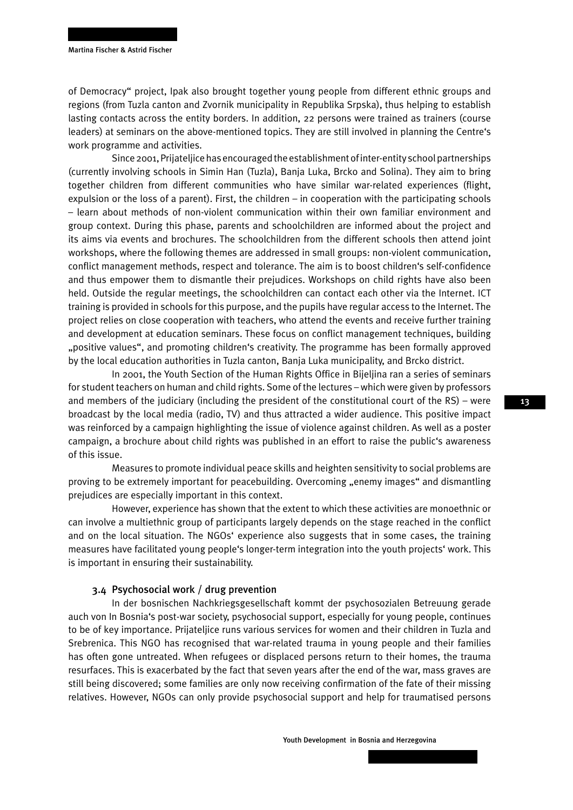of Democracy" project, Ipak also brought together young people from different ethnic groups and regions (from Tuzla canton and Zvornik municipality in Republika Srpska), thus helping to establish lasting contacts across the entity borders. In addition, 22 persons were trained as trainers (course leaders) at seminars on the above-mentioned topics. They are still involved in planning the Centre's work programme and activities.

Since 2001, Prijateljice has encouraged the establishment of inter-entity school partnerships (currently involving schools in Simin Han (Tuzla), Banja Luka, Brcko and Solina). They aim to bring together children from different communities who have similar war-related experiences (flight, expulsion or the loss of a parent). First, the children – in cooperation with the participating schools – learn about methods of non-violent communication within their own familiar environment and group context. During this phase, parents and schoolchildren are informed about the project and its aims via events and brochures. The schoolchildren from the different schools then attend joint workshops, where the following themes are addressed in small groups: non-violent communication, conflict management methods, respect and tolerance. The aim is to boost children's self-confidence and thus empower them to dismantle their prejudices. Workshops on child rights have also been held. Outside the regular meetings, the schoolchildren can contact each other via the Internet. ICT training is provided in schools for this purpose, and the pupils have regular access to the Internet. The project relies on close cooperation with teachers, who attend the events and receive further training and development at education seminars. These focus on conflict management techniques, building "positive values", and promoting children's creativity. The programme has been formally approved by the local education authorities in Tuzla canton, Banja Luka municipality, and Brcko district.

In 2001, the Youth Section of the Human Rights Office in Bijeljina ran a series of seminars for student teachers on human and child rights. Some of the lectures – which were given by professors and members of the judiciary (including the president of the constitutional court of the RS) – were broadcast by the local media (radio, TV) and thus attracted a wider audience. This positive impact was reinforced by a campaign highlighting the issue of violence against children. As well as a poster campaign, a brochure about child rights was published in an effort to raise the public's awareness of this issue.

Measures to promote individual peace skills and heighten sensitivity to social problems are proving to be extremely important for peacebuilding. Overcoming "enemy images" and dismantling prejudices are especially important in this context.

However, experience has shown that the extent to which these activities are monoethnic or can involve a multiethnic group of participants largely depends on the stage reached in the conflict and on the local situation. The NGOs' experience also suggests that in some cases, the training measures have facilitated young people's longer-term integration into the youth projects' work. This is important in ensuring their sustainability.

#### 3.4 Psychosocial work / drug prevention

In der bosnischen Nachkriegsgesellschaft kommt der psychosozialen Betreuung gerade auch von In Bosnia's post-war society, psychosocial support, especially for young people, continues to be of key importance. Prijateljice runs various services for women and their children in Tuzla and Srebrenica. This NGO has recognised that war-related trauma in young people and their families has often gone untreated. When refugees or displaced persons return to their homes, the trauma resurfaces. This is exacerbated by the fact that seven years after the end of the war, mass graves are still being discovered; some families are only now receiving confirmation of the fate of their missing relatives. However, NGOs can only provide psychosocial support and help for traumatised persons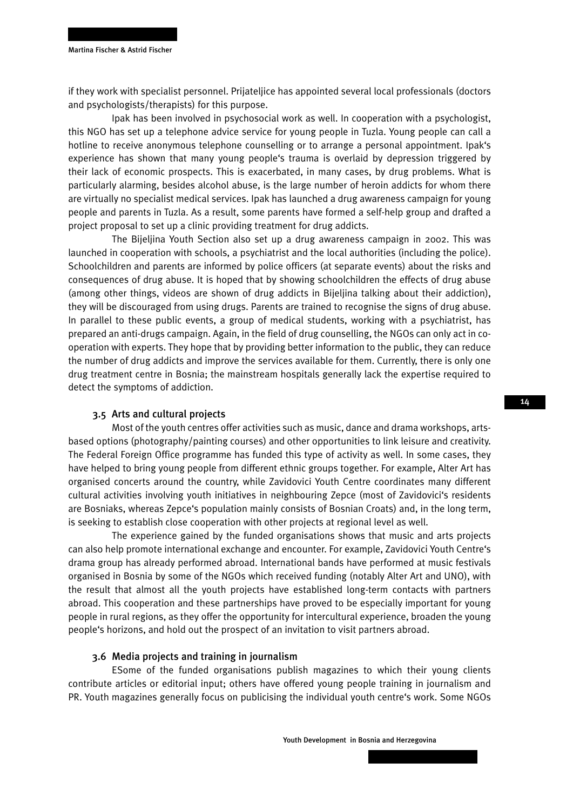if they work with specialist personnel. Prijateljice has appointed several local professionals (doctors and psychologists/therapists) for this purpose.

Ipak has been involved in psychosocial work as well. In cooperation with a psychologist, this NGO has set up a telephone advice service for young people in Tuzla. Young people can call a hotline to receive anonymous telephone counselling or to arrange a personal appointment. Ipak's experience has shown that many young people's trauma is overlaid by depression triggered by their lack of economic prospects. This is exacerbated, in many cases, by drug problems. What is particularly alarming, besides alcohol abuse, is the large number of heroin addicts for whom there are virtually no specialist medical services. Ipak has launched a drug awareness campaign for young people and parents in Tuzla. As a result, some parents have formed a self-help group and drafted a project proposal to set up a clinic providing treatment for drug addicts.

The Bijeljina Youth Section also set up a drug awareness campaign in 2002. This was launched in cooperation with schools, a psychiatrist and the local authorities (including the police). Schoolchildren and parents are informed by police officers (at separate events) about the risks and consequences of drug abuse. It is hoped that by showing schoolchildren the effects of drug abuse (among other things, videos are shown of drug addicts in Bijeljina talking about their addiction), they will be discouraged from using drugs. Parents are trained to recognise the signs of drug abuse. In parallel to these public events, a group of medical students, working with a psychiatrist, has prepared an anti-drugs campaign. Again, in the field of drug counselling, the NGOs can only act in cooperation with experts. They hope that by providing better information to the public, they can reduce the number of drug addicts and improve the services available for them. Currently, there is only one drug treatment centre in Bosnia; the mainstream hospitals generally lack the expertise required to detect the symptoms of addiction.

#### 3.5 Arts and cultural projects

Most of the youth centres offer activities such as music, dance and drama workshops, artsbased options (photography/painting courses) and other opportunities to link leisure and creativity. The Federal Foreign Office programme has funded this type of activity as well. In some cases, they have helped to bring young people from different ethnic groups together. For example, Alter Art has organised concerts around the country, while Zavidovici Youth Centre coordinates many different cultural activities involving youth initiatives in neighbouring Zepce (most of Zavidovici's residents are Bosniaks, whereas Zepce's population mainly consists of Bosnian Croats) and, in the long term, is seeking to establish close cooperation with other projects at regional level as well.

The experience gained by the funded organisations shows that music and arts projects can also help promote international exchange and encounter. For example, Zavidovici Youth Centre's drama group has already performed abroad. International bands have performed at music festivals organised in Bosnia by some of the NGOs which received funding (notably Alter Art and UNO), with the result that almost all the youth projects have established long-term contacts with partners abroad. This cooperation and these partnerships have proved to be especially important for young people in rural regions, as they offer the opportunity for intercultural experience, broaden the young people's horizons, and hold out the prospect of an invitation to visit partners abroad.

#### 3.6 Media projects and training in journalism

ESome of the funded organisations publish magazines to which their young clients contribute articles or editorial input; others have offered young people training in journalism and PR. Youth magazines generally focus on publicising the individual youth centre's work. Some NGOs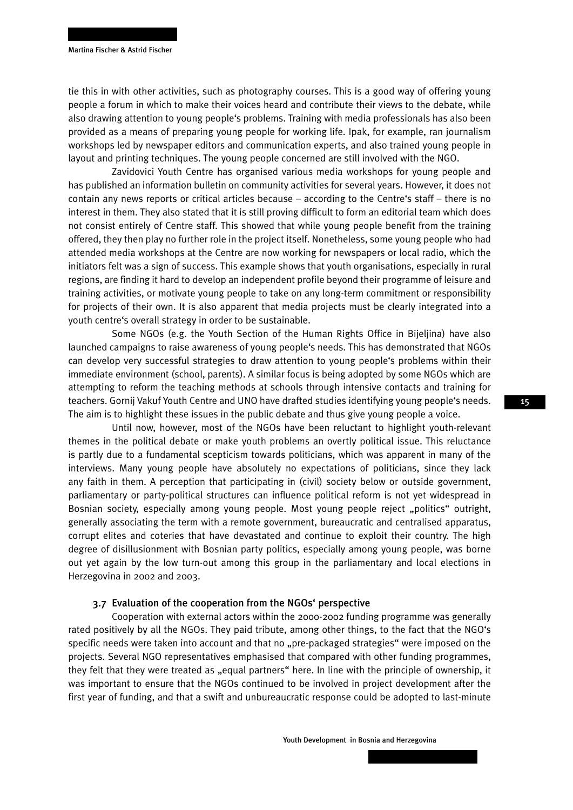tie this in with other activities, such as photography courses. This is a good way of offering young people a forum in which to make their voices heard and contribute their views to the debate, while also drawing attention to young people's problems. Training with media professionals has also been provided as a means of preparing young people for working life. Ipak, for example, ran journalism workshops led by newspaper editors and communication experts, and also trained young people in layout and printing techniques. The young people concerned are still involved with the NGO.

Zavidovici Youth Centre has organised various media workshops for young people and has published an information bulletin on community activities for several years. However, it does not contain any news reports or critical articles because – according to the Centre's staff – there is no interest in them. They also stated that it is still proving difficult to form an editorial team which does not consist entirely of Centre staff. This showed that while young people benefit from the training offered, they then play no further role in the project itself. Nonetheless, some young people who had attended media workshops at the Centre are now working for newspapers or local radio, which the initiators felt was a sign of success. This example shows that youth organisations, especially in rural regions, are finding it hard to develop an independent profile beyond their programme of leisure and training activities, or motivate young people to take on any long-term commitment or responsibility for projects of their own. It is also apparent that media projects must be clearly integrated into a youth centre's overall strategy in order to be sustainable.

Some NGOs (e.g. the Youth Section of the Human Rights Office in Bijeljina) have also launched campaigns to raise awareness of young people's needs. This has demonstrated that NGOs can develop very successful strategies to draw attention to young people's problems within their immediate environment (school, parents). A similar focus is being adopted by some NGOs which are attempting to reform the teaching methods at schools through intensive contacts and training for teachers. Gornij Vakuf Youth Centre and UNO have drafted studies identifying young people's needs. The aim is to highlight these issues in the public debate and thus give young people a voice.

Until now, however, most of the NGOs have been reluctant to highlight youth-relevant themes in the political debate or make youth problems an overtly political issue. This reluctance is partly due to a fundamental scepticism towards politicians, which was apparent in many of the interviews. Many young people have absolutely no expectations of politicians, since they lack any faith in them. A perception that participating in (civil) society below or outside government, parliamentary or party-political structures can influence political reform is not yet widespread in Bosnian society, especially among young people. Most young people reject "politics" outright, generally associating the term with a remote government, bureaucratic and centralised apparatus, corrupt elites and coteries that have devastated and continue to exploit their country. The high degree of disillusionment with Bosnian party politics, especially among young people, was borne out yet again by the low turn-out among this group in the parliamentary and local elections in Herzegovina in 2002 and 2003.

#### 3.7 Evaluation of the cooperation from the NGOs' perspective

Cooperation with external actors within the 2000-2002 funding programme was generally rated positively by all the NGOs. They paid tribute, among other things, to the fact that the NGO's specific needs were taken into account and that no "pre-packaged strategies" were imposed on the projects. Several NGO representatives emphasised that compared with other funding programmes, they felt that they were treated as "equal partners" here. In line with the principle of ownership, it was important to ensure that the NGOs continued to be involved in project development after the first year of funding, and that a swift and unbureaucratic response could be adopted to last-minute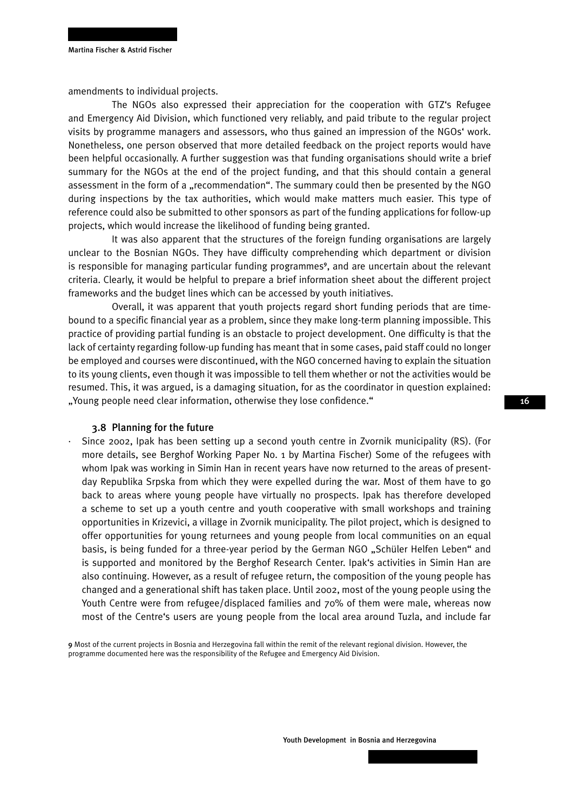amendments to individual projects.

The NGOs also expressed their appreciation for the cooperation with GTZ's Refugee and Emergency Aid Division, which functioned very reliably, and paid tribute to the regular project visits by programme managers and assessors, who thus gained an impression of the NGOs' work. Nonetheless, one person observed that more detailed feedback on the project reports would have been helpful occasionally. A further suggestion was that funding organisations should write a brief summary for the NGOs at the end of the project funding, and that this should contain a general assessment in the form of a "recommendation". The summary could then be presented by the NGO during inspections by the tax authorities, which would make matters much easier. This type of reference could also be submitted to other sponsors as part of the funding applications for follow-up projects, which would increase the likelihood of funding being granted.

It was also apparent that the structures of the foreign funding organisations are largely unclear to the Bosnian NGOs. They have difficulty comprehending which department or division is responsible for managing particular funding programmes<sup>9</sup>, and are uncertain about the relevant criteria. Clearly, it would be helpful to prepare a brief information sheet about the different project frameworks and the budget lines which can be accessed by youth initiatives.

Overall, it was apparent that youth projects regard short funding periods that are timebound to a specific financial year as a problem, since they make long-term planning impossible. This practice of providing partial funding is an obstacle to project development. One difficulty is that the lack of certainty regarding follow-up funding has meant that in some cases, paid staff could no longer be employed and courses were discontinued, with the NGO concerned having to explain the situation to its young clients, even though it was impossible to tell them whether or not the activities would be resumed. This, it was argued, is a damaging situation, for as the coordinator in question explained: "Young people need clear information, otherwise they lose confidence."

#### 3.8 Planning for the future

· Since 2002, Ipak has been setting up a second youth centre in Zvornik municipality (RS). (For more details, see Berghof Working Paper No. 1 by Martina Fischer) Some of the refugees with whom Ipak was working in Simin Han in recent years have now returned to the areas of presentday Republika Srpska from which they were expelled during the war. Most of them have to go back to areas where young people have virtually no prospects. Ipak has therefore developed a scheme to set up a youth centre and youth cooperative with small workshops and training opportunities in Krizevici, a village in Zvornik municipality. The pilot project, which is designed to offer opportunities for young returnees and young people from local communities on an equal basis, is being funded for a three-year period by the German NGO "Schüler Helfen Leben" and is supported and monitored by the Berghof Research Center. Ipak's activities in Simin Han are also continuing. However, as a result of refugee return, the composition of the young people has changed and a generational shift has taken place. Until 2002, most of the young people using the Youth Centre were from refugee/displaced families and 70% of them were male, whereas now most of the Centre's users are young people from the local area around Tuzla, and include far

9 Most of the current projects in Bosnia and Herzegovina fall within the remit of the relevant regional division. However, the programme documented here was the responsibility of the Refugee and Emergency Aid Division.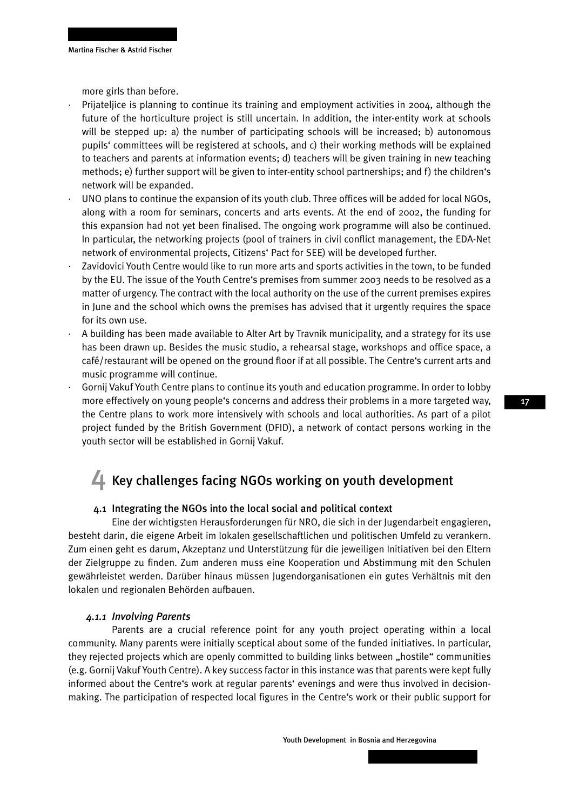more girls than before.

- Prijateljice is planning to continue its training and employment activities in 2004, although the future of the horticulture project is still uncertain. In addition, the inter-entity work at schools will be stepped up: a) the number of participating schools will be increased; b) autonomous pupils' committees will be registered at schools, and c) their working methods will be explained to teachers and parents at information events; d) teachers will be given training in new teaching methods; e) further support will be given to inter-entity school partnerships; and f) the children's network will be expanded.
- · UNO plans to continue the expansion of its youth club. Three offices will be added for local NGOs, along with a room for seminars, concerts and arts events. At the end of 2002, the funding for this expansion had not yet been finalised. The ongoing work programme will also be continued. In particular, the networking projects (pool of trainers in civil conflict management, the EDA-Net network of environmental projects, Citizens' Pact for SEE) will be developed further.
- Zavidovici Youth Centre would like to run more arts and sports activities in the town, to be funded by the EU. The issue of the Youth Centre's premises from summer 2003 needs to be resolved as a matter of urgency. The contract with the local authority on the use of the current premises expires in June and the school which owns the premises has advised that it urgently requires the space for its own use.
- · A building has been made available to Alter Art by Travnik municipality, and a strategy for its use has been drawn up. Besides the music studio, a rehearsal stage, workshops and office space, a café/restaurant will be opened on the ground floor if at all possible. The Centre's current arts and music programme will continue.
- · Gornij Vakuf Youth Centre plans to continue its youth and education programme. In order to lobby more effectively on young people's concerns and address their problems in a more targeted way, the Centre plans to work more intensively with schools and local authorities. As part of a pilot project funded by the British Government (DFID), a network of contact persons working in the youth sector will be established in Gornij Vakuf.

## 4 Key challenges facing NGOs working on youth development

#### 4.1 Integrating the NGOs into the local social and political context

Eine der wichtigsten Herausforderungen für NRO, die sich in der Jugendarbeit engagieren, besteht darin, die eigene Arbeit im lokalen gesellschaftlichen und politischen Umfeld zu verankern. Zum einen geht es darum, Akzeptanz und Unterstützung für die jeweiligen Initiativen bei den Eltern der Zielgruppe zu finden. Zum anderen muss eine Kooperation und Abstimmung mit den Schulen gewährleistet werden. Darüber hinaus müssen Jugendorganisationen ein gutes Verhältnis mit den lokalen und regionalen Behörden aufbauen.

#### *4.1.1 Involving Parents*

Parents are a crucial reference point for any youth project operating within a local community. Many parents were initially sceptical about some of the funded initiatives. In particular, they rejected projects which are openly committed to building links between "hostile" communities (e.g. Gornij Vakuf Youth Centre). A key success factor in this instance was that parents were kept fully informed about the Centre's work at regular parents' evenings and were thus involved in decisionmaking. The participation of respected local figures in the Centre's work or their public support for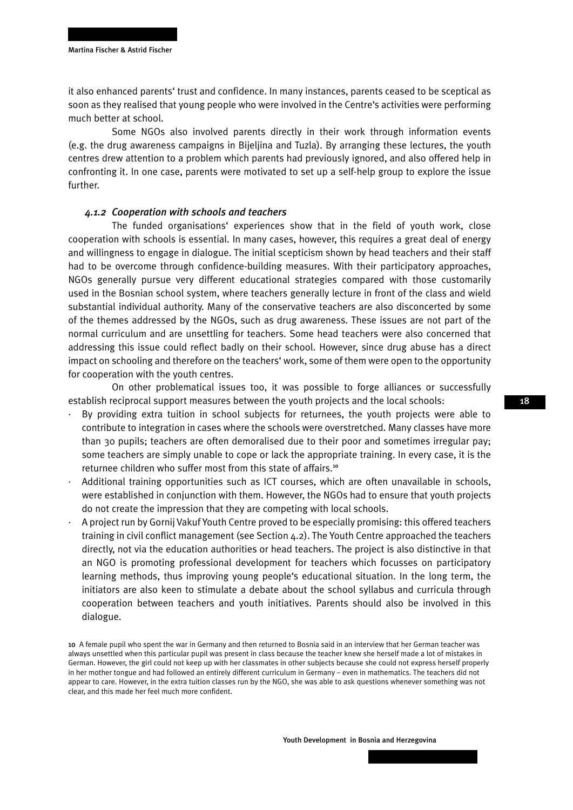it also enhanced parents' trust and confidence. In many instances, parents ceased to be sceptical as soon as they realised that young people who were involved in the Centre's activities were performing much better at school.

Some NGOs also involved parents directly in their work through information events (e.g. the drug awareness campaigns in Bijeljina and Tuzla). By arranging these lectures, the youth centres drew attention to a problem which parents had previously ignored, and also offered help in confronting it. In one case, parents were motivated to set up a self-help group to explore the issue further.

#### *4.1.2 Cooperation with schools and teachers*

The funded organisations' experiences show that in the field of youth work, close cooperation with schools is essential. In many cases, however, this requires a great deal of energy and willingness to engage in dialogue. The initial scepticism shown by head teachers and their staff had to be overcome through confidence-building measures. With their participatory approaches, NGOs generally pursue very different educational strategies compared with those customarily used in the Bosnian school system, where teachers generally lecture in front of the class and wield substantial individual authority. Many of the conservative teachers are also disconcerted by some of the themes addressed by the NGOs, such as drug awareness. These issues are not part of the normal curriculum and are unsettling for teachers. Some head teachers were also concerned that addressing this issue could reflect badly on their school. However, since drug abuse has a direct impact on schooling and therefore on the teachers' work, some of them were open to the opportunity for cooperation with the youth centres.

On other problematical issues too, it was possible to forge alliances or successfully establish reciprocal support measures between the youth projects and the local schools:

- · By providing extra tuition in school subjects for returnees, the youth projects were able to contribute to integration in cases where the schools were overstretched. Many classes have more than 30 pupils; teachers are often demoralised due to their poor and sometimes irregular pay; some teachers are simply unable to cope or lack the appropriate training. In every case, it is the returnee children who suffer most from this state of affairs.<sup>10</sup>
- · Additional training opportunities such as ICT courses, which are often unavailable in schools, were established in conjunction with them. However, the NGOs had to ensure that youth projects do not create the impression that they are competing with local schools.
- · A project run by Gornij Vakuf Youth Centre proved to be especially promising: this offered teachers training in civil conflict management (see Section 4.2). The Youth Centre approached the teachers directly, not via the education authorities or head teachers. The project is also distinctive in that an NGO is promoting professional development for teachers which focusses on participatory learning methods, thus improving young people's educational situation. In the long term, the initiators are also keen to stimulate a debate about the school syllabus and curricula through cooperation between teachers and youth initiatives. Parents should also be involved in this dialogue.

10 A female pupil who spent the war in Germany and then returned to Bosnia said in an interview that her German teacher was always unsettled when this particular pupil was present in class because the teacher knew she herself made a lot of mistakes in German. However, the girl could not keep up with her classmates in other subjects because she could not express herself properly in her mother tongue and had followed an entirely different curriculum in Germany – even in mathematics. The teachers did not appear to care. However, in the extra tuition classes run by the NGO, she was able to ask questions whenever something was not clear, and this made her feel much more confident.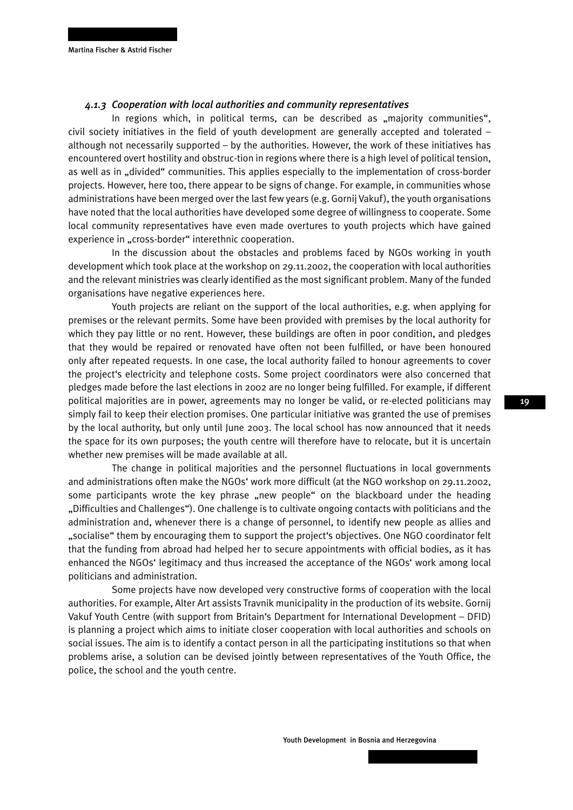#### *4.1.3 Cooperation with local authorities and community representatives*

In regions which, in political terms, can be described as  $\mu$  majority communities", civil society initiatives in the field of youth development are generally accepted and tolerated – although not necessarily supported – by the authorities. However, the work of these initiatives has encountered overt hostility and obstruc-tion in regions where there is a high level of political tension, as well as in "divided" communities. This applies especially to the implementation of cross-border projects. However, here too, there appear to be signs of change. For example, in communities whose administrations have been merged over the last few years (e.g. Gornij Vakuf), the youth organisations have noted that the local authorities have developed some degree of willingness to cooperate. Some local community representatives have even made overtures to youth projects which have gained experience in "cross-border" interethnic cooperation.

In the discussion about the obstacles and problems faced by NGOs working in youth development which took place at the workshop on 29.11.2002, the cooperation with local authorities and the relevant ministries was clearly identified as the most significant problem. Many of the funded organisations have negative experiences here.

Youth projects are reliant on the support of the local authorities, e.g. when applying for premises or the relevant permits. Some have been provided with premises by the local authority for which they pay little or no rent. However, these buildings are often in poor condition, and pledges that they would be repaired or renovated have often not been fulfilled, or have been honoured only after repeated requests. In one case, the local authority failed to honour agreements to cover the project's electricity and telephone costs. Some project coordinators were also concerned that pledges made before the last elections in 2002 are no longer being fulfilled. For example, if different political majorities are in power, agreements may no longer be valid, or re-elected politicians may simply fail to keep their election promises. One particular initiative was granted the use of premises by the local authority, but only until June 2003. The local school has now announced that it needs the space for its own purposes; the youth centre will therefore have to relocate, but it is uncertain whether new premises will be made available at all.

The change in political majorities and the personnel fluctuations in local governments and administrations often make the NGOs' work more difficult (at the NGO workshop on 29.11.2002, some participants wrote the key phrase "new people" on the blackboard under the heading "Difficulties and Challenges"). One challenge is to cultivate ongoing contacts with politicians and the administration and, whenever there is a change of personnel, to identify new people as allies and "socialise" them by encouraging them to support the project's objectives. One NGO coordinator felt that the funding from abroad had helped her to secure appointments with official bodies, as it has enhanced the NGOs' legitimacy and thus increased the acceptance of the NGOs' work among local politicians and administration.

Some projects have now developed very constructive forms of cooperation with the local authorities. For example, Alter Art assists Travnik municipality in the production of its website. Gornij Vakuf Youth Centre (with support from Britain's Department for International Development – DFID) is planning a project which aims to initiate closer cooperation with local authorities and schools on social issues. The aim is to identify a contact person in all the participating institutions so that when problems arise, a solution can be devised jointly between representatives of the Youth Office, the police, the school and the youth centre.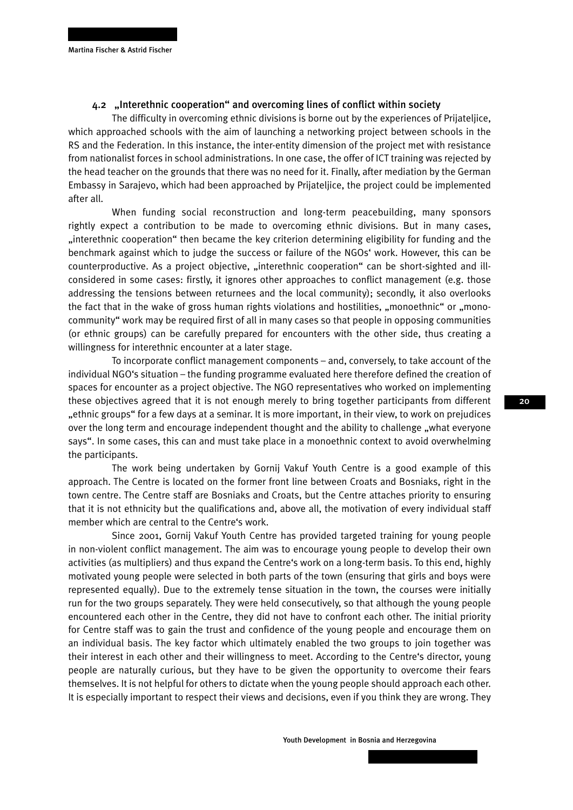#### 4.2 "Interethnic cooperation" and overcoming lines of conflict within society

The difficulty in overcoming ethnic divisions is borne out by the experiences of Prijateljice, which approached schools with the aim of launching a networking project between schools in the RS and the Federation. In this instance, the inter-entity dimension of the project met with resistance from nationalist forces in school administrations. In one case, the offer of ICT training was rejected by the head teacher on the grounds that there was no need for it. Finally, after mediation by the German Embassy in Sarajevo, which had been approached by Prijateljice, the project could be implemented after all.

When funding social reconstruction and long-term peacebuilding, many sponsors rightly expect a contribution to be made to overcoming ethnic divisions. But in many cases, "interethnic cooperation" then became the key criterion determining eligibility for funding and the benchmark against which to judge the success or failure of the NGOs' work. However, this can be counterproductive. As a project objective, "interethnic cooperation" can be short-sighted and illconsidered in some cases: firstly, it ignores other approaches to conflict management (e.g. those addressing the tensions between returnees and the local community); secondly, it also overlooks the fact that in the wake of gross human rights violations and hostilities, "monoethnic" or "monocommunity" work may be required first of all in many cases so that people in opposing communities (or ethnic groups) can be carefully prepared for encounters with the other side, thus creating a willingness for interethnic encounter at a later stage.

To incorporate conflict management components – and, conversely, to take account of the individual NGO's situation – the funding programme evaluated here therefore defined the creation of spaces for encounter as a project objective. The NGO representatives who worked on implementing these objectives agreed that it is not enough merely to bring together participants from different "ethnic groups" for a few days at a seminar. It is more important, in their view, to work on prejudices over the long term and encourage independent thought and the ability to challenge "what everyone says". In some cases, this can and must take place in a monoethnic context to avoid overwhelming the participants.

The work being undertaken by Gornij Vakuf Youth Centre is a good example of this approach. The Centre is located on the former front line between Croats and Bosniaks, right in the town centre. The Centre staff are Bosniaks and Croats, but the Centre attaches priority to ensuring that it is not ethnicity but the qualifications and, above all, the motivation of every individual staff member which are central to the Centre's work.

Since 2001, Gornij Vakuf Youth Centre has provided targeted training for young people in non-violent conflict management. The aim was to encourage young people to develop their own activities (as multipliers) and thus expand the Centre's work on a long-term basis. To this end, highly motivated young people were selected in both parts of the town (ensuring that girls and boys were represented equally). Due to the extremely tense situation in the town, the courses were initially run for the two groups separately. They were held consecutively, so that although the young people encountered each other in the Centre, they did not have to confront each other. The initial priority for Centre staff was to gain the trust and confidence of the young people and encourage them on an individual basis. The key factor which ultimately enabled the two groups to join together was their interest in each other and their willingness to meet. According to the Centre's director, young people are naturally curious, but they have to be given the opportunity to overcome their fears themselves. It is not helpful for others to dictate when the young people should approach each other. It is especially important to respect their views and decisions, even if you think they are wrong. They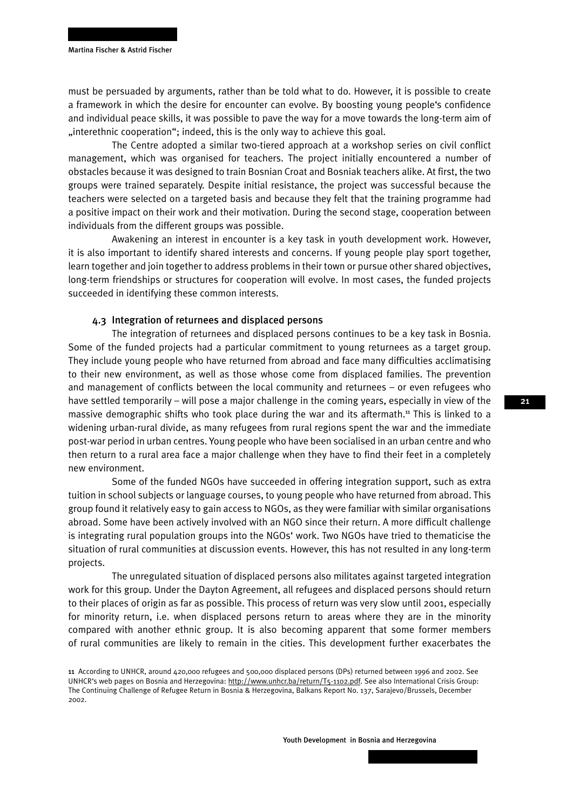must be persuaded by arguments, rather than be told what to do. However, it is possible to create a framework in which the desire for encounter can evolve. By boosting young people's confidence and individual peace skills, it was possible to pave the way for a move towards the long-term aim of "interethnic cooperation"; indeed, this is the only way to achieve this goal.

The Centre adopted a similar two-tiered approach at a workshop series on civil conflict management, which was organised for teachers. The project initially encountered a number of obstacles because it was designed to train Bosnian Croat and Bosniak teachers alike. At first, the two groups were trained separately. Despite initial resistance, the project was successful because the teachers were selected on a targeted basis and because they felt that the training programme had a positive impact on their work and their motivation. During the second stage, cooperation between individuals from the different groups was possible.

Awakening an interest in encounter is a key task in youth development work. However, it is also important to identify shared interests and concerns. If young people play sport together, learn together and join together to address problems in their town or pursue other shared objectives, long-term friendships or structures for cooperation will evolve. In most cases, the funded projects succeeded in identifying these common interests.

#### 4.3 Integration of returnees and displaced persons

The integration of returnees and displaced persons continues to be a key task in Bosnia. Some of the funded projects had a particular commitment to young returnees as a target group. They include young people who have returned from abroad and face many difficulties acclimatising to their new environment, as well as those whose come from displaced families. The prevention and management of conflicts between the local community and returnees – or even refugees who have settled temporarily – will pose a major challenge in the coming years, especially in view of the massive demographic shifts who took place during the war and its aftermath.<sup>11</sup> This is linked to a widening urban-rural divide, as many refugees from rural regions spent the war and the immediate post-war period in urban centres. Young people who have been socialised in an urban centre and who then return to a rural area face a major challenge when they have to find their feet in a completely new environment.

Some of the funded NGOs have succeeded in offering integration support, such as extra tuition in school subjects or language courses, to young people who have returned from abroad. This group found it relatively easy to gain access to NGOs, as they were familiar with similar organisations abroad. Some have been actively involved with an NGO since their return. A more difficult challenge is integrating rural population groups into the NGOs' work. Two NGOs have tried to thematicise the situation of rural communities at discussion events. However, this has not resulted in any long-term projects.

The unregulated situation of displaced persons also militates against targeted integration work for this group. Under the Dayton Agreement, all refugees and displaced persons should return to their places of origin as far as possible. This process of return was very slow until 2001, especially for minority return, i.e. when displaced persons return to areas where they are in the minority compared with another ethnic group. It is also becoming apparent that some former members of rural communities are likely to remain in the cities. This development further exacerbates the

<sup>11</sup> According to UNHCR, around 420,000 refugees and 500,000 displaced persons (DPs) returned between 1996 and 2002. See UNHCR's web pages on Bosnia and Herzegovina: http://www.unhcr.ba/return/T5-1102.pdf. See also International Crisis Group: The Continuing Challenge of Refugee Return in Bosnia & Herzegovina, Balkans Report No. 137, Sarajevo/Brussels, December 2002.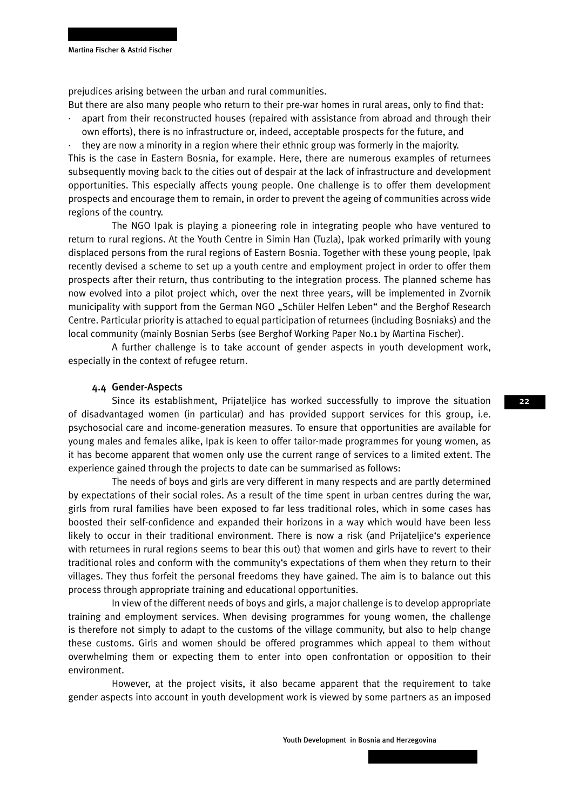prejudices arising between the urban and rural communities.

But there are also many people who return to their pre-war homes in rural areas, only to find that:

· apart from their reconstructed houses (repaired with assistance from abroad and through their own efforts), there is no infrastructure or, indeed, acceptable prospects for the future, and

· they are now a minority in a region where their ethnic group was formerly in the majority. This is the case in Eastern Bosnia, for example. Here, there are numerous examples of returnees subsequently moving back to the cities out of despair at the lack of infrastructure and development opportunities. This especially affects young people. One challenge is to offer them development prospects and encourage them to remain, in order to prevent the ageing of communities across wide regions of the country.

The NGO Ipak is playing a pioneering role in integrating people who have ventured to return to rural regions. At the Youth Centre in Simin Han (Tuzla), Ipak worked primarily with young displaced persons from the rural regions of Eastern Bosnia. Together with these young people, Ipak recently devised a scheme to set up a youth centre and employment project in order to offer them prospects after their return, thus contributing to the integration process. The planned scheme has now evolved into a pilot project which, over the next three years, will be implemented in Zvornik municipality with support from the German NGO "Schüler Helfen Leben" and the Berghof Research Centre. Particular priority is attached to equal participation of returnees (including Bosniaks) and the local community (mainly Bosnian Serbs (see Berghof Working Paper No.1 by Martina Fischer).

A further challenge is to take account of gender aspects in youth development work, especially in the context of refugee return.

#### 4.4 Gender-Aspects

Since its establishment, Prijateljice has worked successfully to improve the situation of disadvantaged women (in particular) and has provided support services for this group, i.e. psychosocial care and income-generation measures. To ensure that opportunities are available for young males and females alike, Ipak is keen to offer tailor-made programmes for young women, as it has become apparent that women only use the current range of services to a limited extent. The experience gained through the projects to date can be summarised as follows:

The needs of boys and girls are very different in many respects and are partly determined by expectations of their social roles. As a result of the time spent in urban centres during the war, girls from rural families have been exposed to far less traditional roles, which in some cases has boosted their self-confidence and expanded their horizons in a way which would have been less likely to occur in their traditional environment. There is now a risk (and Prijateljice's experience with returnees in rural regions seems to bear this out) that women and girls have to revert to their traditional roles and conform with the community's expectations of them when they return to their villages. They thus forfeit the personal freedoms they have gained. The aim is to balance out this process through appropriate training and educational opportunities.

In view of the different needs of boys and girls, a major challenge is to develop appropriate training and employment services. When devising programmes for young women, the challenge is therefore not simply to adapt to the customs of the village community, but also to help change these customs. Girls and women should be offered programmes which appeal to them without overwhelming them or expecting them to enter into open confrontation or opposition to their environment.

However, at the project visits, it also became apparent that the requirement to take gender aspects into account in youth development work is viewed by some partners as an imposed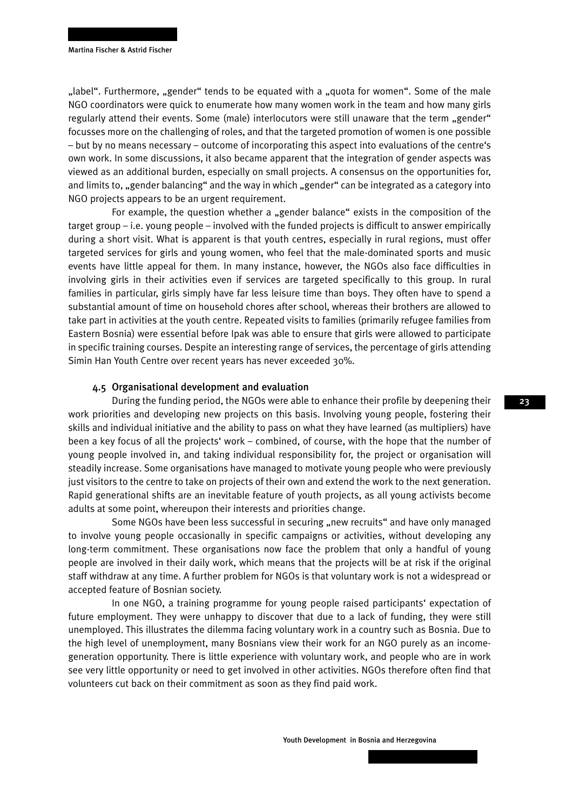"label". Furthermore, "gender" tends to be equated with a "quota for women". Some of the male NGO coordinators were quick to enumerate how many women work in the team and how many girls regularly attend their events. Some (male) interlocutors were still unaware that the term "gender" focusses more on the challenging of roles, and that the targeted promotion of women is one possible – but by no means necessary – outcome of incorporating this aspect into evaluations of the centre's own work. In some discussions, it also became apparent that the integration of gender aspects was viewed as an additional burden, especially on small projects. A consensus on the opportunities for, and limits to, "gender balancing" and the way in which "gender" can be integrated as a category into NGO projects appears to be an urgent requirement.

For example, the question whether a "gender balance" exists in the composition of the target group – i.e. young people – involved with the funded projects is difficult to answer empirically during a short visit. What is apparent is that youth centres, especially in rural regions, must offer targeted services for girls and young women, who feel that the male-dominated sports and music events have little appeal for them. In many instance, however, the NGOs also face difficulties in involving girls in their activities even if services are targeted specifically to this group. In rural families in particular, girls simply have far less leisure time than boys. They often have to spend a substantial amount of time on household chores after school, whereas their brothers are allowed to take part in activities at the youth centre. Repeated visits to families (primarily refugee families from Eastern Bosnia) were essential before Ipak was able to ensure that girls were allowed to participate in specific training courses. Despite an interesting range of services, the percentage of girls attending Simin Han Youth Centre over recent years has never exceeded 30%.

#### 4.5 Organisational development and evaluation

During the funding period, the NGOs were able to enhance their profile by deepening their work priorities and developing new projects on this basis. Involving young people, fostering their skills and individual initiative and the ability to pass on what they have learned (as multipliers) have been a key focus of all the projects' work – combined, of course, with the hope that the number of young people involved in, and taking individual responsibility for, the project or organisation will steadily increase. Some organisations have managed to motivate young people who were previously just visitors to the centre to take on projects of their own and extend the work to the next generation. Rapid generational shifts are an inevitable feature of youth projects, as all young activists become adults at some point, whereupon their interests and priorities change.

Some NGOs have been less successful in securing "new recruits" and have only managed to involve young people occasionally in specific campaigns or activities, without developing any long-term commitment. These organisations now face the problem that only a handful of young people are involved in their daily work, which means that the projects will be at risk if the original staff withdraw at any time. A further problem for NGOs is that voluntary work is not a widespread or accepted feature of Bosnian society.

In one NGO, a training programme for young people raised participants' expectation of future employment. They were unhappy to discover that due to a lack of funding, they were still unemployed. This illustrates the dilemma facing voluntary work in a country such as Bosnia. Due to the high level of unemployment, many Bosnians view their work for an NGO purely as an incomegeneration opportunity. There is little experience with voluntary work, and people who are in work see very little opportunity or need to get involved in other activities. NGOs therefore often find that volunteers cut back on their commitment as soon as they find paid work.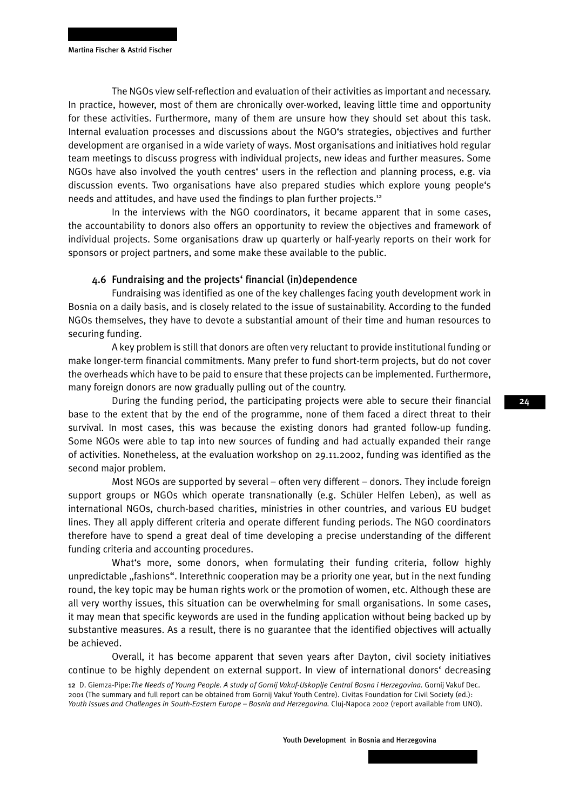The NGOs view self-reflection and evaluation of their activities as important and necessary. In practice, however, most of them are chronically over-worked, leaving little time and opportunity for these activities. Furthermore, many of them are unsure how they should set about this task. Internal evaluation processes and discussions about the NGO's strategies, objectives and further development are organised in a wide variety of ways. Most organisations and initiatives hold regular team meetings to discuss progress with individual projects, new ideas and further measures. Some NGOs have also involved the youth centres' users in the reflection and planning process, e.g. via discussion events. Two organisations have also prepared studies which explore young people's needs and attitudes, and have used the findings to plan further projects.<sup>12</sup>

In the interviews with the NGO coordinators, it became apparent that in some cases, the accountability to donors also offers an opportunity to review the objectives and framework of individual projects. Some organisations draw up quarterly or half-yearly reports on their work for sponsors or project partners, and some make these available to the public.

#### 4.6 Fundraising and the projects' financial (in)dependence

Fundraising was identified as one of the key challenges facing youth development work in Bosnia on a daily basis, and is closely related to the issue of sustainability. According to the funded NGOs themselves, they have to devote a substantial amount of their time and human resources to securing funding.

A key problem is still that donors are often very reluctant to provide institutional funding or make longer-term financial commitments. Many prefer to fund short-term projects, but do not cover the overheads which have to be paid to ensure that these projects can be implemented. Furthermore, many foreign donors are now gradually pulling out of the country.

During the funding period, the participating projects were able to secure their financial base to the extent that by the end of the programme, none of them faced a direct threat to their survival. In most cases, this was because the existing donors had granted follow-up funding. Some NGOs were able to tap into new sources of funding and had actually expanded their range of activities. Nonetheless, at the evaluation workshop on 29.11.2002, funding was identified as the second major problem.

Most NGOs are supported by several – often very different – donors. They include foreign support groups or NGOs which operate transnationally (e.g. Schüler Helfen Leben), as well as international NGOs, church-based charities, ministries in other countries, and various EU budget lines. They all apply different criteria and operate different funding periods. The NGO coordinators therefore have to spend a great deal of time developing a precise understanding of the different funding criteria and accounting procedures.

What's more, some donors, when formulating their funding criteria, follow highly unpredictable "fashions". Interethnic cooperation may be a priority one year, but in the next funding round, the key topic may be human rights work or the promotion of women, etc. Although these are all very worthy issues, this situation can be overwhelming for small organisations. In some cases, it may mean that specific keywords are used in the funding application without being backed up by substantive measures. As a result, there is no guarantee that the identified objectives will actually be achieved.

Overall, it has become apparent that seven years after Dayton, civil society initiatives continue to be highly dependent on external support. In view of international donors' decreasing

<sup>12</sup> D. Giemza-Pipe:*The Needs of Young People. A study of Gornij Vakuf-Uskoplje Central Bosna i Herzegovina.* Gornij Vakuf Dec. 2001 (The summary and full report can be obtained from Gornij Vakuf Youth Centre). Civitas Foundation for Civil Society (ed.): Youth Issues and Challenges in South-Eastern Europe - Bosnia and Herzegovina. Cluj-Napoca 2002 (report available from UNO).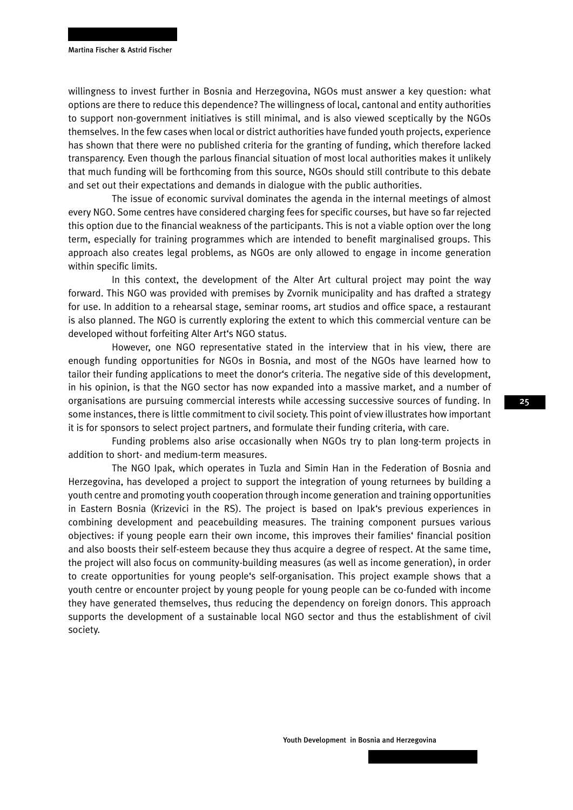willingness to invest further in Bosnia and Herzegovina, NGOs must answer a key question: what options are there to reduce this dependence? The willingness of local, cantonal and entity authorities to support non-government initiatives is still minimal, and is also viewed sceptically by the NGOs themselves. In the few cases when local or district authorities have funded youth projects, experience has shown that there were no published criteria for the granting of funding, which therefore lacked transparency. Even though the parlous financial situation of most local authorities makes it unlikely that much funding will be forthcoming from this source, NGOs should still contribute to this debate and set out their expectations and demands in dialogue with the public authorities.

The issue of economic survival dominates the agenda in the internal meetings of almost every NGO. Some centres have considered charging fees for specific courses, but have so far rejected this option due to the financial weakness of the participants. This is not a viable option over the long term, especially for training programmes which are intended to benefit marginalised groups. This approach also creates legal problems, as NGOs are only allowed to engage in income generation within specific limits.

In this context, the development of the Alter Art cultural project may point the way forward. This NGO was provided with premises by Zvornik municipality and has drafted a strategy for use. In addition to a rehearsal stage, seminar rooms, art studios and office space, a restaurant is also planned. The NGO is currently exploring the extent to which this commercial venture can be developed without forfeiting Alter Art's NGO status.

However, one NGO representative stated in the interview that in his view, there are enough funding opportunities for NGOs in Bosnia, and most of the NGOs have learned how to tailor their funding applications to meet the donor's criteria. The negative side of this development, in his opinion, is that the NGO sector has now expanded into a massive market, and a number of organisations are pursuing commercial interests while accessing successive sources of funding. In some instances, there is little commitment to civil society. This point of view illustrates how important it is for sponsors to select project partners, and formulate their funding criteria, with care.

Funding problems also arise occasionally when NGOs try to plan long-term projects in addition to short- and medium-term measures.

The NGO Ipak, which operates in Tuzla and Simin Han in the Federation of Bosnia and Herzegovina, has developed a project to support the integration of young returnees by building a youth centre and promoting youth cooperation through income generation and training opportunities in Eastern Bosnia (Krizevici in the RS). The project is based on Ipak's previous experiences in combining development and peacebuilding measures. The training component pursues various objectives: if young people earn their own income, this improves their families' financial position and also boosts their self-esteem because they thus acquire a degree of respect. At the same time, the project will also focus on community-building measures (as well as income generation), in order to create opportunities for young people's self-organisation. This project example shows that a youth centre or encounter project by young people for young people can be co-funded with income they have generated themselves, thus reducing the dependency on foreign donors. This approach supports the development of a sustainable local NGO sector and thus the establishment of civil society.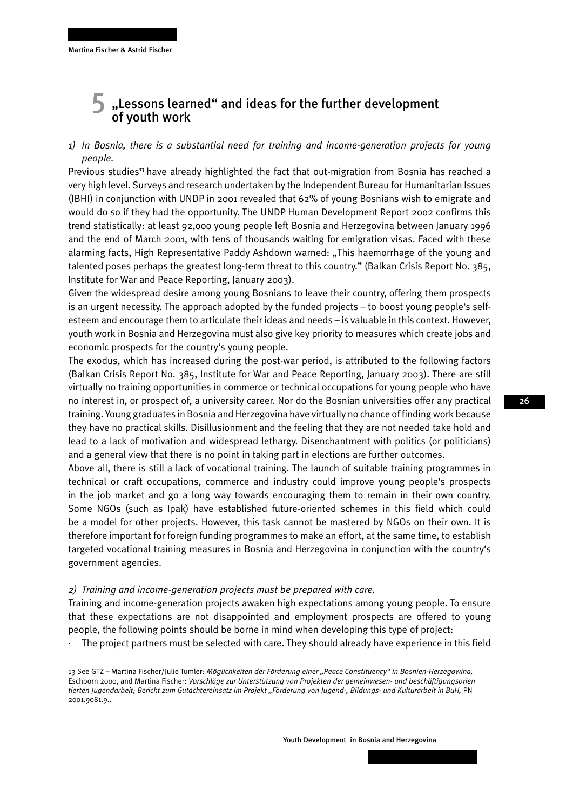## $\overline{5}$  "Lessons learned" and ideas for the further development of youth work

## *1) In Bosnia, there is a substantial need for training and income-generation projects for young people.*

Previous studies<sup>3</sup> have already highlighted the fact that out-migration from Bosnia has reached a very high level. Surveys and research undertaken by the Independent Bureau for Humanitarian Issues (IBHI) in conjunction with UNDP in 2001 revealed that 62% of young Bosnians wish to emigrate and would do so if they had the opportunity. The UNDP Human Development Report 2002 confirms this trend statistically: at least 92,000 young people left Bosnia and Herzegovina between January 1996 and the end of March 2001, with tens of thousands waiting for emigration visas. Faced with these alarming facts, High Representative Paddy Ashdown warned: "This haemorrhage of the young and talented poses perhaps the greatest long-term threat to this country." (Balkan Crisis Report No. 385, Institute for War and Peace Reporting, January 2003).

Given the widespread desire among young Bosnians to leave their country, offering them prospects is an urgent necessity. The approach adopted by the funded projects – to boost young people's selfesteem and encourage them to articulate their ideas and needs – is valuable in this context. However, youth work in Bosnia and Herzegovina must also give key priority to measures which create jobs and economic prospects for the country's young people.

The exodus, which has increased during the post-war period, is attributed to the following factors (Balkan Crisis Report No. 385, Institute for War and Peace Reporting, January 2003). There are still virtually no training opportunities in commerce or technical occupations for young people who have no interest in, or prospect of, a university career. Nor do the Bosnian universities offer any practical training. Young graduates in Bosnia and Herzegovina have virtually no chance of finding work because they have no practical skills. Disillusionment and the feeling that they are not needed take hold and lead to a lack of motivation and widespread lethargy. Disenchantment with politics (or politicians) and a general view that there is no point in taking part in elections are further outcomes.

Above all, there is still a lack of vocational training. The launch of suitable training programmes in technical or craft occupations, commerce and industry could improve young people's prospects in the job market and go a long way towards encouraging them to remain in their own country. Some NGOs (such as Ipak) have established future-oriented schemes in this field which could be a model for other projects. However, this task cannot be mastered by NGOs on their own. It is therefore important for foreign funding programmes to make an effort, at the same time, to establish targeted vocational training measures in Bosnia and Herzegovina in conjunction with the country's government agencies.

#### *2) Training and income-generation projects must be prepared with care.*

Training and income-generation projects awaken high expectations among young people. To ensure that these expectations are not disappointed and employment prospects are offered to young people, the following points should be borne in mind when developing this type of project:

The project partners must be selected with care. They should already have experience in this field

13 See GTZ – Martina Fischer/Julie Tumler: *Möglichkeiten der Förderung einer "Peace Constituency" in Bosnien-Herzegowina,*  Eschborn 2000, and Martina Fischer: *Vorschläge zur Unterstützung von Projekten der gemeinwesen- und beschäftigungsorien tierten Jugendarbeit; Bericht zum Gutachtereinsatz im Projekt "Förderung von Jugend-, Bildungs- und Kulturarbeit in BuH,* PN 2001.9081.9..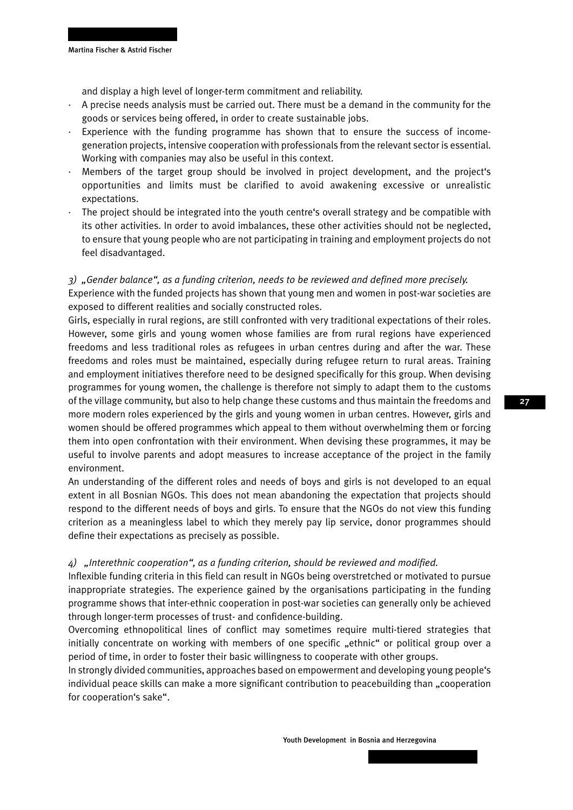and display a high level of longer-term commitment and reliability.

- · A precise needs analysis must be carried out. There must be a demand in the community for the goods or services being offered, in order to create sustainable jobs.
- Experience with the funding programme has shown that to ensure the success of incomegeneration projects, intensive cooperation with professionals from the relevant sector is essential. Working with companies may also be useful in this context.
- · Members of the target group should be involved in project development, and the project's opportunities and limits must be clarified to avoid awakening excessive or unrealistic expectations.
- The project should be integrated into the youth centre's overall strategy and be compatible with its other activities. In order to avoid imbalances, these other activities should not be neglected, to ensure that young people who are not participating in training and employment projects do not feel disadvantaged.

### *3) "Gender balance", as a funding criterion, needs to be reviewed and defined more precisely.* Experience with the funded projects has shown that young men and women in post-war societies are exposed to different realities and socially constructed roles.

Girls, especially in rural regions, are still confronted with very traditional expectations of their roles. However, some girls and young women whose families are from rural regions have experienced freedoms and less traditional roles as refugees in urban centres during and after the war. These freedoms and roles must be maintained, especially during refugee return to rural areas. Training and employment initiatives therefore need to be designed specifically for this group. When devising programmes for young women, the challenge is therefore not simply to adapt them to the customs of the village community, but also to help change these customs and thus maintain the freedoms and more modern roles experienced by the girls and young women in urban centres. However, girls and women should be offered programmes which appeal to them without overwhelming them or forcing them into open confrontation with their environment. When devising these programmes, it may be useful to involve parents and adopt measures to increase acceptance of the project in the family environment.

An understanding of the different roles and needs of boys and girls is not developed to an equal extent in all Bosnian NGOs. This does not mean abandoning the expectation that projects should respond to the different needs of boys and girls. To ensure that the NGOs do not view this funding criterion as a meaningless label to which they merely pay lip service, donor programmes should define their expectations as precisely as possible.

#### *4) "Interethnic cooperation", as a funding criterion, should be reviewed and modified.*

Inflexible funding criteria in this field can result in NGOs being overstretched or motivated to pursue inappropriate strategies. The experience gained by the organisations participating in the funding programme shows that inter-ethnic cooperation in post-war societies can generally only be achieved through longer-term processes of trust- and confidence-building.

Overcoming ethnopolitical lines of conflict may sometimes require multi-tiered strategies that initially concentrate on working with members of one specific "ethnic" or political group over a period of time, in order to foster their basic willingness to cooperate with other groups.

In strongly divided communities, approaches based on empowerment and developing young people's individual peace skills can make a more significant contribution to peacebuilding than "cooperation for cooperation's sake".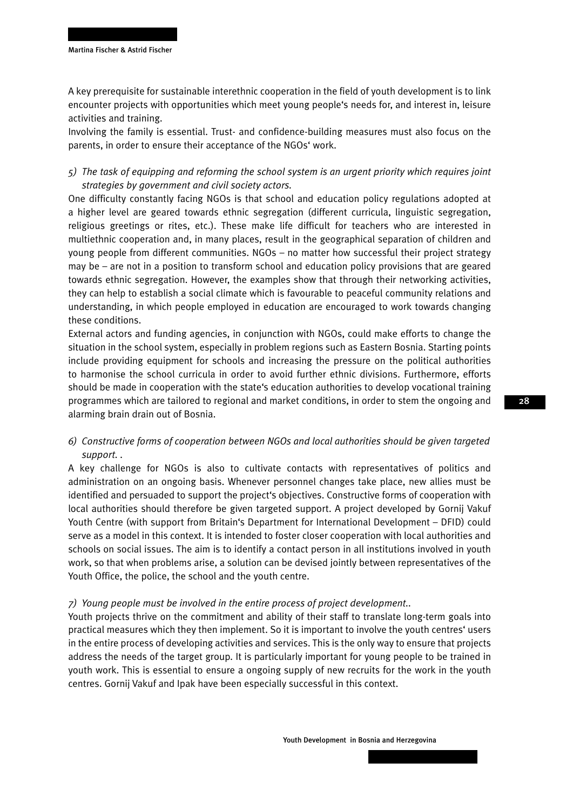A key prerequisite for sustainable interethnic cooperation in the field of youth development is to link encounter projects with opportunities which meet young people's needs for, and interest in, leisure activities and training.

Involving the family is essential. Trust- and confidence-building measures must also focus on the parents, in order to ensure their acceptance of the NGOs' work.

## *5) The task of equipping and reforming the school system is an urgent priority which requires joint strategies by government and civil society actors.*

One difficulty constantly facing NGOs is that school and education policy regulations adopted at a higher level are geared towards ethnic segregation (different curricula, linguistic segregation, religious greetings or rites, etc.). These make life difficult for teachers who are interested in multiethnic cooperation and, in many places, result in the geographical separation of children and young people from different communities. NGOs – no matter how successful their project strategy may be – are not in a position to transform school and education policy provisions that are geared towards ethnic segregation. However, the examples show that through their networking activities, they can help to establish a social climate which is favourable to peaceful community relations and understanding, in which people employed in education are encouraged to work towards changing these conditions.

External actors and funding agencies, in conjunction with NGOs, could make efforts to change the situation in the school system, especially in problem regions such as Eastern Bosnia. Starting points include providing equipment for schools and increasing the pressure on the political authorities to harmonise the school curricula in order to avoid further ethnic divisions. Furthermore, efforts should be made in cooperation with the state's education authorities to develop vocational training programmes which are tailored to regional and market conditions, in order to stem the ongoing and alarming brain drain out of Bosnia.

### *6) Constructive forms of cooperation between NGOs and local authorities should be given targeted support. .*

A key challenge for NGOs is also to cultivate contacts with representatives of politics and administration on an ongoing basis. Whenever personnel changes take place, new allies must be identified and persuaded to support the project's objectives. Constructive forms of cooperation with local authorities should therefore be given targeted support. A project developed by Gornij Vakuf Youth Centre (with support from Britain's Department for International Development – DFID) could serve as a model in this context. It is intended to foster closer cooperation with local authorities and schools on social issues. The aim is to identify a contact person in all institutions involved in youth work, so that when problems arise, a solution can be devised jointly between representatives of the Youth Office, the police, the school and the youth centre.

#### *7) Young people must be involved in the entire process of project development..*

Youth projects thrive on the commitment and ability of their staff to translate long-term goals into practical measures which they then implement. So it is important to involve the youth centres' users in the entire process of developing activities and services. This is the only way to ensure that projects address the needs of the target group. It is particularly important for young people to be trained in youth work. This is essential to ensure a ongoing supply of new recruits for the work in the youth centres. Gornij Vakuf and Ipak have been especially successful in this context.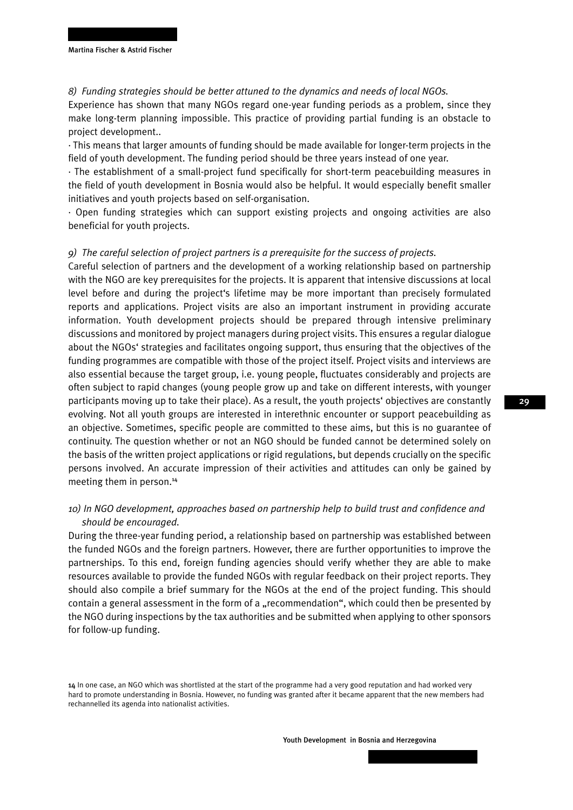#### *8) Funding strategies should be better attuned to the dynamics and needs of local NGOs.*

Experience has shown that many NGOs regard one-year funding periods as a problem, since they make long-term planning impossible. This practice of providing partial funding is an obstacle to project development..

· This means that larger amounts of funding should be made available for longer-term projects in the field of youth development. The funding period should be three years instead of one year.

· The establishment of a small-project fund specifically for short-term peacebuilding measures in the field of youth development in Bosnia would also be helpful. It would especially benefit smaller initiatives and youth projects based on self-organisation.

· Open funding strategies which can support existing projects and ongoing activities are also beneficial for youth projects.

#### *9) The careful selection of project partners is a prerequisite for the success of projects.*

Careful selection of partners and the development of a working relationship based on partnership with the NGO are key prerequisites for the projects. It is apparent that intensive discussions at local level before and during the project's lifetime may be more important than precisely formulated reports and applications. Project visits are also an important instrument in providing accurate information. Youth development projects should be prepared through intensive preliminary discussions and monitored by project managers during project visits. This ensures a regular dialogue about the NGOs' strategies and facilitates ongoing support, thus ensuring that the objectives of the funding programmes are compatible with those of the project itself. Project visits and interviews are also essential because the target group, i.e. young people, fluctuates considerably and projects are often subject to rapid changes (young people grow up and take on different interests, with younger participants moving up to take their place). As a result, the youth projects' objectives are constantly evolving. Not all youth groups are interested in interethnic encounter or support peacebuilding as an objective. Sometimes, specific people are committed to these aims, but this is no guarantee of continuity. The question whether or not an NGO should be funded cannot be determined solely on the basis of the written project applications or rigid regulations, but depends crucially on the specific persons involved. An accurate impression of their activities and attitudes can only be gained by meeting them in person.<sup>14</sup>

### *10) In NGO development, approaches based on partnership help to build trust and confidence and should be encouraged.*

During the three-year funding period, a relationship based on partnership was established between the funded NGOs and the foreign partners. However, there are further opportunities to improve the partnerships. To this end, foreign funding agencies should verify whether they are able to make resources available to provide the funded NGOs with regular feedback on their project reports. They should also compile a brief summary for the NGOs at the end of the project funding. This should contain a general assessment in the form of a "recommendation", which could then be presented by the NGO during inspections by the tax authorities and be submitted when applying to other sponsors for follow-up funding.

<sup>14</sup> In one case, an NGO which was shortlisted at the start of the programme had a very good reputation and had worked very hard to promote understanding in Bosnia. However, no funding was granted after it became apparent that the new members had rechannelled its agenda into nationalist activities.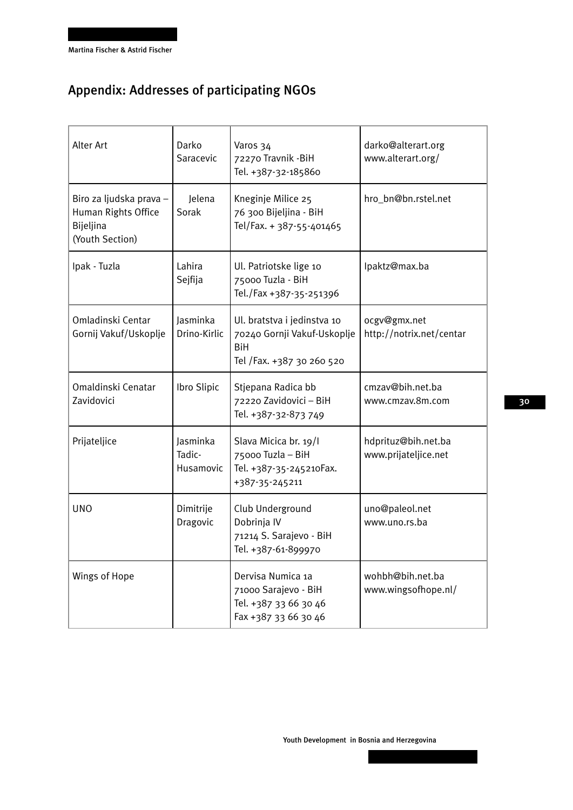## Appendix: Addresses of participating NGOs

| Alter Art                                                                      | Darko<br>Saracevic              | Varos 34<br>72270 Travnik - BiH<br>Tel. +387-32-185860                                                | darko@alterart.org<br>www.alterart.org/     |
|--------------------------------------------------------------------------------|---------------------------------|-------------------------------------------------------------------------------------------------------|---------------------------------------------|
| Biro za ljudska prava -<br>Human Rights Office<br>Bijeljina<br>(Youth Section) | Jelena<br>Sorak                 | Kneginje Milice 25<br>76 300 Bijeljina - BiH<br>Tel/Fax. + 387-55-401465                              | hro_bn@bn.rstel.net                         |
| Ipak - Tuzla                                                                   | Lahira<br>Sejfija               | Ul. Patriotske lige 10<br>75000 Tuzla - BiH<br>Tel./Fax +387-35-251396                                | lpaktz@max.ba                               |
| Omladinski Centar<br>Gornij Vakuf/Uskoplje                                     | Jasminka<br>Drino-Kirlic        | Ul. bratstva i jedinstva 10<br>70240 Gornji Vakuf-Uskoplje<br><b>BiH</b><br>Tel /Fax. +387 30 260 520 | ocgv@gmx.net<br>http://notrix.net/centar    |
| Omaldinski Cenatar<br>Zavidovici                                               | Ibro Slipic                     | Stjepana Radica bb<br>72220 Zavidovici - BiH<br>Tel. +387-32-873 749                                  | cmzav@bih.net.ba<br>www.cmzav.8m.com        |
| Prijateljice                                                                   | Jasminka<br>Tadic-<br>Husamovic | Slava Micica br. 19/I<br>75000 Tuzla - BiH<br>Tel. +387-35-245210Fax.<br>+387-35-245211               | hdprituz@bih.net.ba<br>www.prijateljice.net |
| <b>UNO</b>                                                                     | Dimitrije<br>Dragovic           | Club Underground<br>Dobrinja IV<br>71214 S. Sarajevo - BiH<br>Tel. +387-61-899970                     | uno@paleol.net<br>www.uno.rs.ba             |
| Wings of Hope                                                                  |                                 | Dervisa Numica 1a<br>71000 Sarajevo - BiH<br>Tel. +387 33 66 30 46<br>Fax +387 33 66 30 46            | wohbh@bih.net.ba<br>www.wingsofhope.nl/     |

Youth Development in Bosnia and Herzegovina